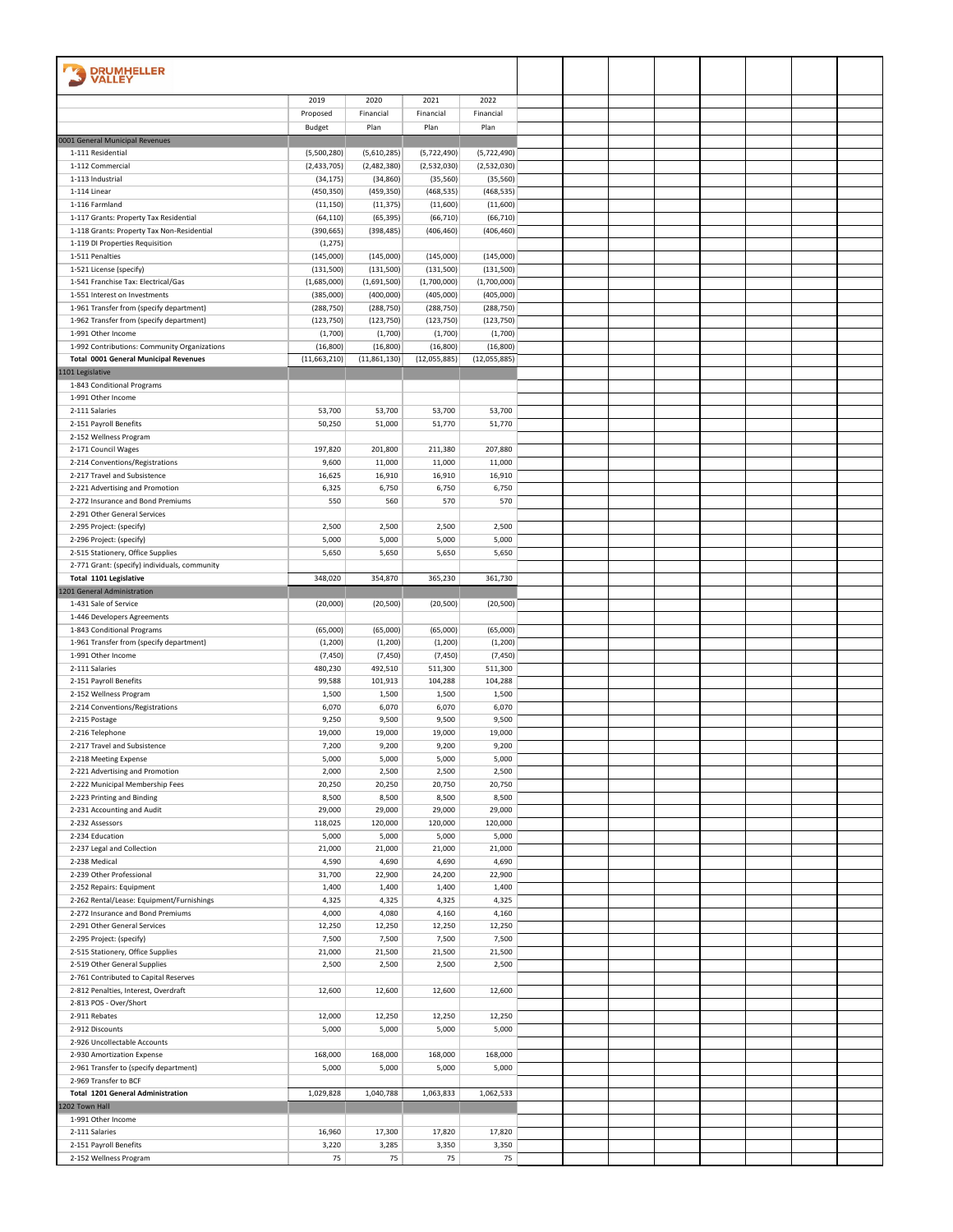| <b>DRUMHELLER</b>                                               |                         |                         |                         |                         |  |  |  |  |
|-----------------------------------------------------------------|-------------------------|-------------------------|-------------------------|-------------------------|--|--|--|--|
| <b>VALLEY</b>                                                   |                         |                         |                         |                         |  |  |  |  |
|                                                                 | 2019                    | 2020                    | 2021                    | 2022                    |  |  |  |  |
|                                                                 | Proposed                | Financial               | Financial               | Financial               |  |  |  |  |
| 0001 General Municipal Revenues                                 | <b>Budget</b>           | Plan                    | Plan                    | Plan                    |  |  |  |  |
| 1-111 Residential                                               | (5,500,280)             | (5,610,285)             | (5,722,490)             | (5,722,490)             |  |  |  |  |
| 1-112 Commercial                                                | (2,433,705)             | (2,482,380)             | (2,532,030)             | (2,532,030)             |  |  |  |  |
| 1-113 Industrial                                                | (34, 175)               | (34, 860)               | (35, 560)               | (35, 560)               |  |  |  |  |
| 1-114 Linear<br>1-116 Farmland                                  | (450, 350)<br>(11, 150) | (459, 350)<br>(11, 375) | (468, 535)<br>(11,600)  | (468, 535)<br>(11,600)  |  |  |  |  |
| 1-117 Grants: Property Tax Residential                          | (64, 110)               | (65, 395)               | (66, 710)               | (66, 710)               |  |  |  |  |
| 1-118 Grants: Property Tax Non-Residential                      | (390, 665)              | (398, 485)              | (406, 460)              | (406, 460)              |  |  |  |  |
| 1-119 DI Properties Requisition                                 | (1, 275)                |                         |                         |                         |  |  |  |  |
| 1-511 Penalties<br>1-521 License (specify)                      | (145,000)<br>(131, 500) | (145,000)<br>(131, 500) | (145,000)<br>(131, 500) | (145,000)<br>(131, 500) |  |  |  |  |
| 1-541 Franchise Tax: Electrical/Gas                             | (1,685,000)             | (1,691,500)             | (1,700,000)             | (1,700,000)             |  |  |  |  |
| 1-551 Interest on Investments                                   | (385,000)               | (400,000)               | (405,000)               | (405,000)               |  |  |  |  |
| 1-961 Transfer from (specify department)                        | (288, 750)              | (288, 750)              | (288, 750)              | (288, 750)              |  |  |  |  |
| 1-962 Transfer from (specify department)<br>1-991 Other Income  | (123, 750)<br>(1,700)   | (123, 750)<br>(1,700)   | (123, 750)<br>(1,700)   | (123, 750)<br>(1,700)   |  |  |  |  |
| 1-992 Contributions: Community Organizations                    | (16, 800)               | (16, 800)               | (16, 800)               | (16, 800)               |  |  |  |  |
| <b>Total 0001 General Municipal Revenues</b>                    | (11,663,210)            | (11,861,130)            | (12,055,885)            | (12,055,885)            |  |  |  |  |
| 1101 Legislative                                                |                         |                         |                         |                         |  |  |  |  |
| 1-843 Conditional Programs<br>1-991 Other Income                |                         |                         |                         |                         |  |  |  |  |
| 2-111 Salaries                                                  | 53,700                  | 53,700                  | 53,700                  | 53,700                  |  |  |  |  |
| 2-151 Payroll Benefits                                          | 50,250                  | 51,000                  | 51,770                  | 51,770                  |  |  |  |  |
| 2-152 Wellness Program                                          |                         |                         |                         |                         |  |  |  |  |
| 2-171 Council Wages                                             | 197,820                 | 201,800                 | 211,380                 | 207,880                 |  |  |  |  |
| 2-214 Conventions/Registrations<br>2-217 Travel and Subsistence | 9,600<br>16,625         | 11,000<br>16,910        | 11,000<br>16,910        | 11,000<br>16,910        |  |  |  |  |
| 2-221 Advertising and Promotion                                 | 6,325                   | 6,750                   | 6,750                   | 6,750                   |  |  |  |  |
| 2-272 Insurance and Bond Premiums                               | 550                     | 560                     | 570                     | 570                     |  |  |  |  |
| 2-291 Other General Services                                    |                         |                         |                         |                         |  |  |  |  |
| 2-295 Project: (specify)<br>2-296 Project: (specify)            | 2,500<br>5,000          | 2,500<br>5,000          | 2,500<br>5,000          | 2,500<br>5,000          |  |  |  |  |
| 2-515 Stationery, Office Supplies                               | 5,650                   | 5,650                   | 5,650                   | 5,650                   |  |  |  |  |
| 2-771 Grant: (specify) individuals, community                   |                         |                         |                         |                         |  |  |  |  |
| Total 1101 Legislative                                          | 348,020                 | 354,870                 | 365,230                 | 361,730                 |  |  |  |  |
| 1201 General Administration                                     |                         |                         |                         |                         |  |  |  |  |
| 1-431 Sale of Service<br>1-446 Developers Agreements            | (20,000)                | (20, 500)               | (20, 500)               | (20, 500)               |  |  |  |  |
| 1-843 Conditional Programs                                      | (65,000)                | (65,000)                | (65,000)                | (65,000)                |  |  |  |  |
| 1-961 Transfer from (specify department)                        | (1, 200)                | (1, 200)                | (1, 200)                | (1,200)                 |  |  |  |  |
| 1-991 Other Income                                              | (7, 450)                | (7, 450)                | (7, 450)                | (7, 450)                |  |  |  |  |
| 2-111 Salaries<br>2-151 Payroll Benefits                        | 480,230<br>99,588       | 492,510<br>101,913      | 511,300<br>104,288      | 511,300<br>104,288      |  |  |  |  |
| 2-152 Wellness Program                                          | 1,500                   | 1,500                   | 1,500                   | 1,500                   |  |  |  |  |
| 2-214 Conventions/Registrations                                 | 6,070                   | 6,070                   | 6,070                   | 6,070                   |  |  |  |  |
| 2-215 Postage                                                   | 9,250                   | 9,500                   | 9,500                   | 9,500                   |  |  |  |  |
| 2-216 Telephone<br>2-217 Travel and Subsistence                 | 19,000<br>7,200         | 19,000<br>9,200         | 19,000<br>9,200         | 19,000<br>9,200         |  |  |  |  |
| 2-218 Meeting Expense                                           | 5,000                   | 5,000                   | 5,000                   | 5,000                   |  |  |  |  |
| 2-221 Advertising and Promotion                                 | 2,000                   | 2,500                   | 2,500                   | 2,500                   |  |  |  |  |
| 2-222 Municipal Membership Fees                                 | 20,250                  | 20,250                  | 20,750                  | 20,750                  |  |  |  |  |
| 2-223 Printing and Binding<br>2-231 Accounting and Audit        | 8,500<br>29,000         | 8,500<br>29,000         | 8,500<br>29,000         | 8,500<br>29,000         |  |  |  |  |
| 2-232 Assessors                                                 | 118,025                 | 120,000                 | 120,000                 | 120,000                 |  |  |  |  |
| 2-234 Education                                                 | 5,000                   | 5,000                   | 5,000                   | 5,000                   |  |  |  |  |
| 2-237 Legal and Collection                                      | 21,000                  | 21,000                  | 21,000                  | 21,000                  |  |  |  |  |
| 2-238 Medical<br>2-239 Other Professional                       | 4,590<br>31,700         | 4,690<br>22,900         | 4,690<br>24,200         | 4,690<br>22,900         |  |  |  |  |
| 2-252 Repairs: Equipment                                        | 1,400                   | 1,400                   | 1,400                   | 1,400                   |  |  |  |  |
| 2-262 Rental/Lease: Equipment/Furnishings                       | 4,325                   | 4,325                   | 4,325                   | 4,325                   |  |  |  |  |
| 2-272 Insurance and Bond Premiums                               | 4,000                   | 4,080                   | 4,160                   | 4,160                   |  |  |  |  |
| 2-291 Other General Services<br>2-295 Project: (specify)        | 12,250<br>7,500         | 12,250<br>7,500         | 12,250<br>7,500         | 12,250<br>7,500         |  |  |  |  |
| 2-515 Stationery, Office Supplies                               | 21,000                  | 21,500                  | 21,500                  | 21,500                  |  |  |  |  |
| 2-519 Other General Supplies                                    | 2,500                   | 2,500                   | 2,500                   | 2,500                   |  |  |  |  |
| 2-761 Contributed to Capital Reserves                           |                         |                         |                         |                         |  |  |  |  |
| 2-812 Penalties, Interest, Overdraft                            | 12,600                  | 12,600                  | 12,600                  | 12,600                  |  |  |  |  |
| 2-813 POS - Over/Short<br>2-911 Rebates                         | 12,000                  | 12,250                  | 12,250                  | 12,250                  |  |  |  |  |
| 2-912 Discounts                                                 | 5,000                   | 5,000                   | 5,000                   | 5,000                   |  |  |  |  |
| 2-926 Uncollectable Accounts                                    |                         |                         |                         |                         |  |  |  |  |
| 2-930 Amortization Expense                                      | 168,000                 | 168,000                 | 168,000                 | 168,000                 |  |  |  |  |
| 2-961 Transfer to (specify department)<br>2-969 Transfer to BCF | 5,000                   | 5,000                   | 5,000                   | 5,000                   |  |  |  |  |
| <b>Total 1201 General Administration</b>                        | 1,029,828               | 1,040,788               | 1,063,833               | 1,062,533               |  |  |  |  |
| 1202 Town Hall                                                  |                         |                         |                         |                         |  |  |  |  |
| 1-991 Other Income                                              |                         |                         |                         |                         |  |  |  |  |
| 2-111 Salaries                                                  | 16,960                  | 17,300                  | 17,820                  | 17,820                  |  |  |  |  |
| 2-151 Payroll Benefits<br>2-152 Wellness Program                | 3,220<br>75             | 3,285<br>75             | 3,350<br>75             | 3,350<br>75             |  |  |  |  |
|                                                                 |                         |                         |                         |                         |  |  |  |  |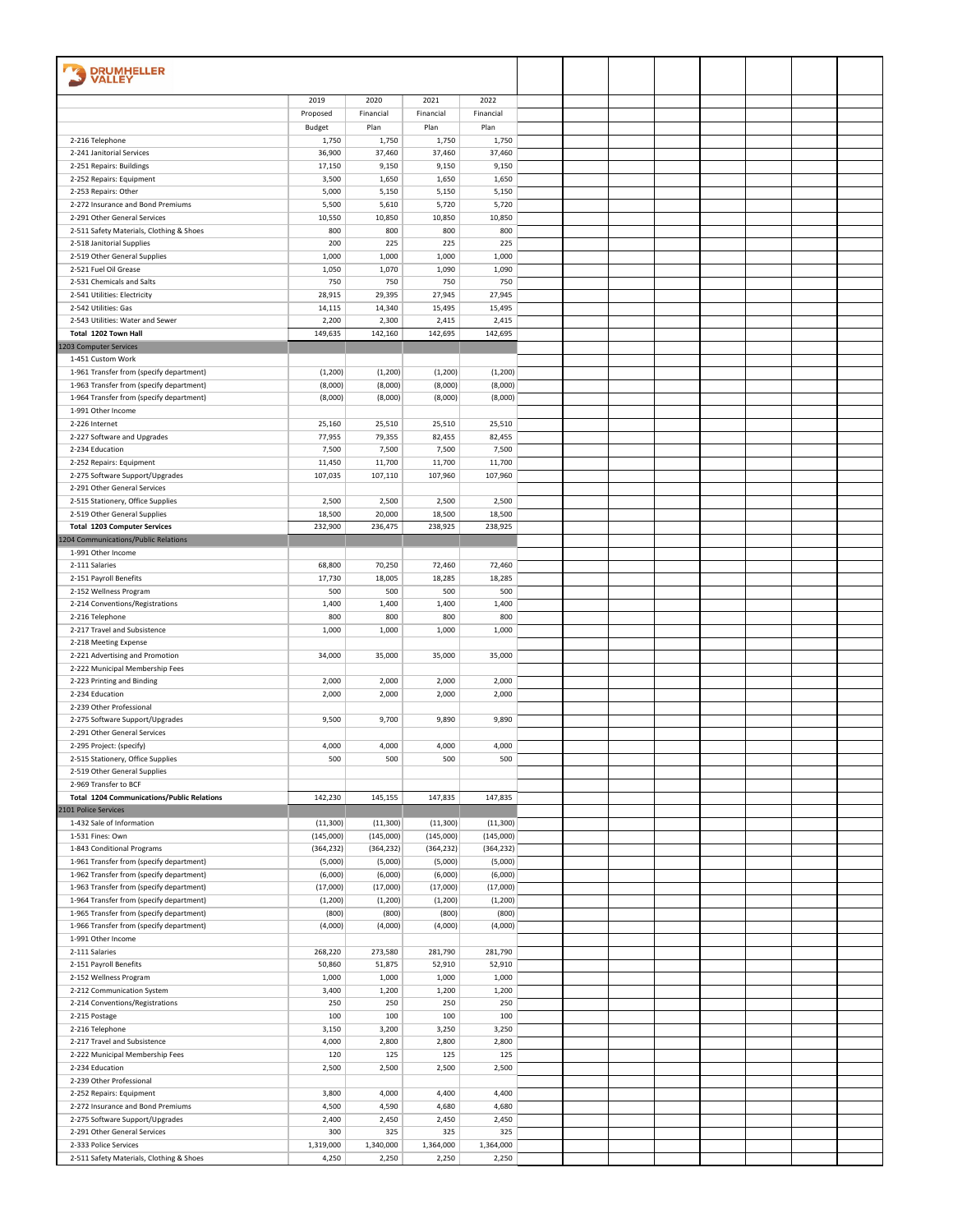| <b>DRUMHELLER</b>                                                                    |                    |                    |                    |                    |  |  |  |  |
|--------------------------------------------------------------------------------------|--------------------|--------------------|--------------------|--------------------|--|--|--|--|
| <b>VALLEY</b>                                                                        |                    |                    |                    |                    |  |  |  |  |
|                                                                                      | 2019               | 2020               | 2021               | 2022               |  |  |  |  |
|                                                                                      | Proposed           | Financial          | Financial          | Financial          |  |  |  |  |
|                                                                                      | Budget             | Plan               | Plan               | Plan               |  |  |  |  |
| 2-216 Telephone<br>2-241 Janitorial Services                                         | 1,750<br>36,900    | 1,750<br>37,460    | 1,750<br>37,460    | 1,750<br>37,460    |  |  |  |  |
| 2-251 Repairs: Buildings                                                             | 17,150             | 9,150              | 9,150              | 9,150              |  |  |  |  |
| 2-252 Repairs: Equipment                                                             | 3,500              | 1,650              | 1,650              | 1,650              |  |  |  |  |
| 2-253 Repairs: Other                                                                 | 5,000              | 5,150              | 5,150              | 5,150              |  |  |  |  |
| 2-272 Insurance and Bond Premiums<br>2-291 Other General Services                    | 5,500<br>10,550    | 5,610<br>10,850    | 5,720<br>10,850    | 5,720<br>10,850    |  |  |  |  |
| 2-511 Safety Materials, Clothing & Shoes                                             | 800                | 800                | 800                | 800                |  |  |  |  |
| 2-518 Janitorial Supplies                                                            | 200                | 225                | 225                | 225                |  |  |  |  |
| 2-519 Other General Supplies                                                         | 1,000              | 1,000              | 1,000              | 1,000              |  |  |  |  |
| 2-521 Fuel Oil Grease<br>2-531 Chemicals and Salts                                   | 1,050              | 1,070              | 1,090              | 1,090              |  |  |  |  |
| 2-541 Utilities: Electricity                                                         | 750<br>28,915      | 750<br>29,395      | 750<br>27,945      | 750<br>27,945      |  |  |  |  |
| 2-542 Utilities: Gas                                                                 | 14,115             | 14,340             | 15,495             | 15,495             |  |  |  |  |
| 2-543 Utilities: Water and Sewer                                                     | 2,200              | 2,300              | 2,415              | 2,415              |  |  |  |  |
| Total 1202 Town Hall                                                                 | 149,635            | 142,160            | 142,695            | 142,695            |  |  |  |  |
| 1203 Computer Services<br>1-451 Custom Work                                          |                    |                    |                    |                    |  |  |  |  |
| 1-961 Transfer from (specify department)                                             | (1, 200)           | (1, 200)           | (1, 200)           | (1,200)            |  |  |  |  |
| 1-963 Transfer from (specify department)                                             | (8,000)            | (8,000)            | (8,000)            | (8,000)            |  |  |  |  |
| 1-964 Transfer from (specify department)                                             | (8,000)            | (8,000)            | (8,000)            | (8,000)            |  |  |  |  |
| 1-991 Other Income                                                                   |                    |                    |                    |                    |  |  |  |  |
| 2-226 Internet<br>2-227 Software and Upgrades                                        | 25,160<br>77,955   | 25,510<br>79,355   | 25,510<br>82,455   | 25,510<br>82,455   |  |  |  |  |
| 2-234 Education                                                                      | 7,500              | 7,500              | 7,500              | 7,500              |  |  |  |  |
| 2-252 Repairs: Equipment                                                             | 11,450             | 11,700             | 11,700             | 11,700             |  |  |  |  |
| 2-275 Software Support/Upgrades                                                      | 107,035            | 107,110            | 107,960            | 107,960            |  |  |  |  |
| 2-291 Other General Services                                                         |                    |                    |                    |                    |  |  |  |  |
| 2-515 Stationery, Office Supplies<br>2-519 Other General Supplies                    | 2,500<br>18,500    | 2,500<br>20,000    | 2,500<br>18,500    | 2,500<br>18,500    |  |  |  |  |
| <b>Total 1203 Computer Services</b>                                                  | 232,900            | 236,475            | 238,925            | 238,925            |  |  |  |  |
| 1204 Communications/Public Relations                                                 |                    |                    |                    |                    |  |  |  |  |
| 1-991 Other Income                                                                   |                    |                    |                    |                    |  |  |  |  |
| 2-111 Salaries                                                                       | 68,800             | 70,250<br>18,005   | 72,460<br>18,285   | 72,460<br>18,285   |  |  |  |  |
| 2-151 Payroll Benefits<br>2-152 Wellness Program                                     | 17,730<br>500      | 500                | 500                | 500                |  |  |  |  |
| 2-214 Conventions/Registrations                                                      | 1,400              | 1,400              | 1,400              | 1,400              |  |  |  |  |
| 2-216 Telephone                                                                      | 800                | 800                | 800                | 800                |  |  |  |  |
| 2-217 Travel and Subsistence                                                         | 1,000              | 1,000              | 1,000              | 1,000              |  |  |  |  |
| 2-218 Meeting Expense<br>2-221 Advertising and Promotion                             | 34,000             | 35,000             | 35,000             | 35,000             |  |  |  |  |
| 2-222 Municipal Membership Fees                                                      |                    |                    |                    |                    |  |  |  |  |
| 2-223 Printing and Binding                                                           | 2,000              | 2,000              | 2,000              | 2,000              |  |  |  |  |
| 2-234 Education                                                                      | 2,000              | 2,000              | 2,000              | 2,000              |  |  |  |  |
| 2-239 Other Professional                                                             |                    |                    |                    |                    |  |  |  |  |
| 2-275 Software Support/Upgrades<br>2-291 Other General Services                      | 9,500              | 9,700              | 9,890              | 9,890              |  |  |  |  |
| 2-295 Project: (specify)                                                             | 4,000              | 4,000              | 4,000              | 4,000              |  |  |  |  |
| 2-515 Stationery, Office Supplies                                                    | 500                | 500                | 500                | 500                |  |  |  |  |
| 2-519 Other General Supplies                                                         |                    |                    |                    |                    |  |  |  |  |
| 2-969 Transfer to BCF<br><b>Total 1204 Communications/Public Relations</b>           | 142,230            | 145,155            | 147,835            | 147,835            |  |  |  |  |
| 2101 Police Services                                                                 |                    |                    |                    |                    |  |  |  |  |
| 1-432 Sale of Information                                                            | (11, 300)          | (11, 300)          | (11, 300)          | (11,300)           |  |  |  |  |
| 1-531 Fines: Own                                                                     | (145,000)          | (145,000)          | (145,000)          | (145,000)          |  |  |  |  |
| 1-843 Conditional Programs                                                           | (364, 232)         | (364, 232)         | (364, 232)         | (364, 232)         |  |  |  |  |
| 1-961 Transfer from (specify department)<br>1-962 Transfer from (specify department) | (5,000)<br>(6,000) | (5,000)<br>(6,000) | (5,000)<br>(6,000) | (5,000)<br>(6,000) |  |  |  |  |
| 1-963 Transfer from (specify department)                                             | (17,000)           | (17,000)           | (17,000)           | (17,000)           |  |  |  |  |
| 1-964 Transfer from (specify department)                                             | (1,200)            | (1,200)            | (1,200)            | (1,200)            |  |  |  |  |
| 1-965 Transfer from (specify department)                                             | (800)              | (800)              | (800)              | (800)              |  |  |  |  |
| 1-966 Transfer from (specify department)<br>1-991 Other Income                       | (4,000)            | (4,000)            | (4,000)            | (4,000)            |  |  |  |  |
| 2-111 Salaries                                                                       | 268,220            | 273,580            | 281,790            | 281,790            |  |  |  |  |
| 2-151 Payroll Benefits                                                               | 50,860             | 51,875             | 52,910             | 52,910             |  |  |  |  |
| 2-152 Wellness Program                                                               | 1,000              | 1,000              | 1,000              | 1,000              |  |  |  |  |
| 2-212 Communication System                                                           | 3,400              | 1,200              | 1,200              | 1,200              |  |  |  |  |
| 2-214 Conventions/Registrations<br>2-215 Postage                                     | 250<br>100         | 250<br>100         | 250<br>100         | 250<br>100         |  |  |  |  |
| 2-216 Telephone                                                                      | 3,150              | 3,200              | 3,250              | 3,250              |  |  |  |  |
| 2-217 Travel and Subsistence                                                         | 4,000              | 2,800              | 2,800              | 2,800              |  |  |  |  |
| 2-222 Municipal Membership Fees                                                      | 120                | 125                | 125                | 125                |  |  |  |  |
| 2-234 Education                                                                      | 2,500              | 2,500              | 2,500              | 2,500              |  |  |  |  |
| 2-239 Other Professional<br>2-252 Repairs: Equipment                                 | 3,800              | 4,000              | 4,400              | 4,400              |  |  |  |  |
| 2-272 Insurance and Bond Premiums                                                    | 4,500              | 4,590              | 4,680              | 4,680              |  |  |  |  |
| 2-275 Software Support/Upgrades                                                      | 2,400              | 2,450              | 2,450              | 2,450              |  |  |  |  |
| 2-291 Other General Services                                                         | 300                | 325                | 325                | 325                |  |  |  |  |
| 2-333 Police Services<br>2-511 Safety Materials, Clothing & Shoes                    | 1,319,000<br>4,250 | 1,340,000<br>2,250 | 1,364,000<br>2,250 | 1,364,000<br>2,250 |  |  |  |  |
|                                                                                      |                    |                    |                    |                    |  |  |  |  |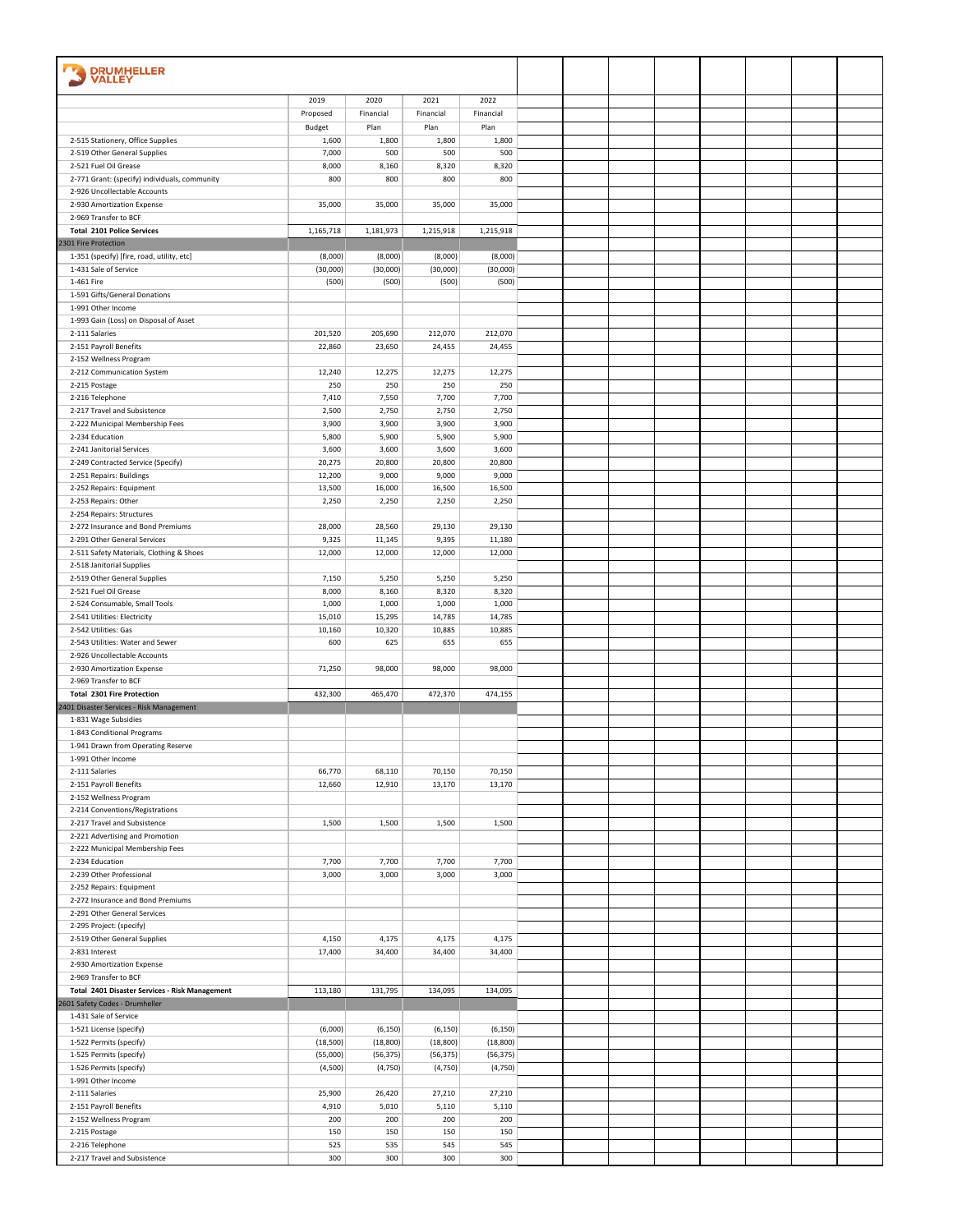| <b>DRUMHELLER</b>                                                     |                  |                  |                  |                  |  |  |  |  |
|-----------------------------------------------------------------------|------------------|------------------|------------------|------------------|--|--|--|--|
| <b>VALLEY</b>                                                         |                  |                  |                  |                  |  |  |  |  |
|                                                                       | 2019             | 2020             | 2021             | 2022             |  |  |  |  |
|                                                                       | Proposed         | Financial        | Financial        | Financial        |  |  |  |  |
|                                                                       | Budget           | Plan             | Plan             | Plan             |  |  |  |  |
| 2-515 Stationery, Office Supplies                                     | 1,600            | 1,800<br>500     | 1,800<br>500     | 1,800<br>500     |  |  |  |  |
| 2-519 Other General Supplies<br>2-521 Fuel Oil Grease                 | 7,000<br>8,000   | 8,160            | 8,320            | 8,320            |  |  |  |  |
| 2-771 Grant: (specify) individuals, community                         | 800              | 800              | 800              | 800              |  |  |  |  |
| 2-926 Uncollectable Accounts                                          |                  |                  |                  |                  |  |  |  |  |
| 2-930 Amortization Expense                                            | 35,000           | 35,000           | 35,000           | 35,000           |  |  |  |  |
| 2-969 Transfer to BCF                                                 |                  | 1,181,973        |                  |                  |  |  |  |  |
| <b>Total 2101 Police Services</b><br>2301 Fire Protection             | 1,165,718        |                  | 1,215,918        | 1,215,918        |  |  |  |  |
| 1-351 (specify) [fire, road, utility, etc]                            | (8,000)          | (8,000)          | (8,000)          | (8,000)          |  |  |  |  |
| 1-431 Sale of Service                                                 | (30,000)         | (30,000)         | (30,000)         | (30,000)         |  |  |  |  |
| 1-461 Fire                                                            | (500)            | (500)            | (500)            | (500)            |  |  |  |  |
| 1-591 Gifts/General Donations                                         |                  |                  |                  |                  |  |  |  |  |
| 1-991 Other Income<br>1-993 Gain (Loss) on Disposal of Asset          |                  |                  |                  |                  |  |  |  |  |
| 2-111 Salaries                                                        | 201,520          | 205,690          | 212,070          | 212,070          |  |  |  |  |
| 2-151 Payroll Benefits                                                | 22,860           | 23,650           | 24,455           | 24,455           |  |  |  |  |
| 2-152 Wellness Program                                                |                  |                  |                  |                  |  |  |  |  |
| 2-212 Communication System                                            | 12,240           | 12,275           | 12,275           | 12,275           |  |  |  |  |
| 2-215 Postage<br>2-216 Telephone                                      | 250<br>7,410     | 250<br>7,550     | 250<br>7,700     | 250<br>7,700     |  |  |  |  |
| 2-217 Travel and Subsistence                                          | 2,500            | 2,750            | 2,750            | 2,750            |  |  |  |  |
| 2-222 Municipal Membership Fees                                       | 3,900            | 3,900            | 3,900            | 3,900            |  |  |  |  |
| 2-234 Education                                                       | 5,800            | 5,900            | 5,900            | 5,900            |  |  |  |  |
| 2-241 Janitorial Services                                             | 3,600            | 3,600            | 3,600            | 3,600            |  |  |  |  |
| 2-249 Contracted Service (Specify)<br>2-251 Repairs: Buildings        | 20,275<br>12,200 | 20,800<br>9,000  | 20,800<br>9,000  | 20,800<br>9,000  |  |  |  |  |
| 2-252 Repairs: Equipment                                              | 13,500           | 16,000           | 16,500           | 16,500           |  |  |  |  |
| 2-253 Repairs: Other                                                  | 2,250            | 2,250            | 2,250            | 2,250            |  |  |  |  |
| 2-254 Repairs: Structures                                             |                  |                  |                  |                  |  |  |  |  |
| 2-272 Insurance and Bond Premiums                                     | 28,000           | 28,560           | 29,130           | 29,130           |  |  |  |  |
| 2-291 Other General Services                                          | 9,325<br>12,000  | 11,145<br>12,000 | 9,395<br>12,000  | 11,180<br>12,000 |  |  |  |  |
| 2-511 Safety Materials, Clothing & Shoes<br>2-518 Janitorial Supplies |                  |                  |                  |                  |  |  |  |  |
| 2-519 Other General Supplies                                          | 7,150            | 5,250            | 5,250            | 5,250            |  |  |  |  |
| 2-521 Fuel Oil Grease                                                 | 8,000            | 8,160            | 8,320            | 8,320            |  |  |  |  |
| 2-524 Consumable, Small Tools                                         | 1,000            | 1,000            | 1,000            | 1,000            |  |  |  |  |
| 2-541 Utilities: Electricity                                          | 15,010           | 15,295           | 14,785<br>10,885 | 14,785           |  |  |  |  |
| 2-542 Utilities: Gas<br>2-543 Utilities: Water and Sewer              | 10,160<br>600    | 10,320<br>625    | 655              | 10,885<br>655    |  |  |  |  |
| 2-926 Uncollectable Accounts                                          |                  |                  |                  |                  |  |  |  |  |
| 2-930 Amortization Expense                                            | 71,250           | 98,000           | 98,000           | 98,000           |  |  |  |  |
| 2-969 Transfer to BCF                                                 |                  |                  |                  |                  |  |  |  |  |
| <b>Total 2301 Fire Protection</b>                                     | 432,300          | 465,470          | 472,370          | 474,155          |  |  |  |  |
| 2401 Disaster Services - Risk Management<br>1-831 Wage Subsidies      |                  |                  |                  |                  |  |  |  |  |
| 1-843 Conditional Programs                                            |                  |                  |                  |                  |  |  |  |  |
| 1-941 Drawn from Operating Reserve                                    |                  |                  |                  |                  |  |  |  |  |
| 1-991 Other Income                                                    |                  |                  |                  |                  |  |  |  |  |
| 2-111 Salaries                                                        | 66,770           | 68,110           | 70,150           | 70,150           |  |  |  |  |
| 2-151 Payroll Benefits<br>2-152 Wellness Program                      | 12,660           | 12,910           | 13,170           | 13,170           |  |  |  |  |
| 2-214 Conventions/Registrations                                       |                  |                  |                  |                  |  |  |  |  |
| 2-217 Travel and Subsistence                                          | 1,500            | 1,500            | 1,500            | 1,500            |  |  |  |  |
| 2-221 Advertising and Promotion                                       |                  |                  |                  |                  |  |  |  |  |
| 2-222 Municipal Membership Fees                                       |                  |                  |                  |                  |  |  |  |  |
| 2-234 Education<br>2-239 Other Professional                           | 7,700<br>3,000   | 7,700<br>3,000   | 7,700<br>3,000   | 7,700<br>3,000   |  |  |  |  |
| 2-252 Repairs: Equipment                                              |                  |                  |                  |                  |  |  |  |  |
| 2-272 Insurance and Bond Premiums                                     |                  |                  |                  |                  |  |  |  |  |
| 2-291 Other General Services                                          |                  |                  |                  |                  |  |  |  |  |
| 2-295 Project: (specify)                                              |                  |                  |                  |                  |  |  |  |  |
| 2-519 Other General Supplies<br>2-831 Interest                        | 4,150<br>17,400  | 4,175<br>34,400  | 4,175<br>34,400  | 4,175<br>34,400  |  |  |  |  |
| 2-930 Amortization Expense                                            |                  |                  |                  |                  |  |  |  |  |
| 2-969 Transfer to BCF                                                 |                  |                  |                  |                  |  |  |  |  |
| Total 2401 Disaster Services - Risk Management                        | 113,180          | 131,795          | 134,095          | 134,095          |  |  |  |  |
| 2601 Safety Codes - Drumheller                                        |                  |                  |                  |                  |  |  |  |  |
| 1-431 Sale of Service<br>1-521 License (specify)                      | (6,000)          | (6, 150)         | (6, 150)         | (6, 150)         |  |  |  |  |
| 1-522 Permits (specify)                                               | (18, 500)        | (18, 800)        | (18, 800)        | (18, 800)        |  |  |  |  |
| 1-525 Permits (specify)                                               | (55,000)         | (56, 375)        | (56, 375)        | (56, 375)        |  |  |  |  |
| 1-526 Permits (specify)                                               | (4,500)          | (4,750)          | (4,750)          | (4,750)          |  |  |  |  |
| 1-991 Other Income                                                    |                  |                  |                  |                  |  |  |  |  |
| 2-111 Salaries<br>2-151 Payroll Benefits                              | 25,900<br>4,910  | 26,420<br>5,010  | 27,210<br>5,110  | 27,210<br>5,110  |  |  |  |  |
| 2-152 Wellness Program                                                | 200              | 200              | 200              | 200              |  |  |  |  |
| 2-215 Postage                                                         | 150              | 150              | 150              | 150              |  |  |  |  |
| 2-216 Telephone                                                       | 525              | 535              | 545              | 545              |  |  |  |  |
| 2-217 Travel and Subsistence                                          | 300              | 300              | 300              | 300              |  |  |  |  |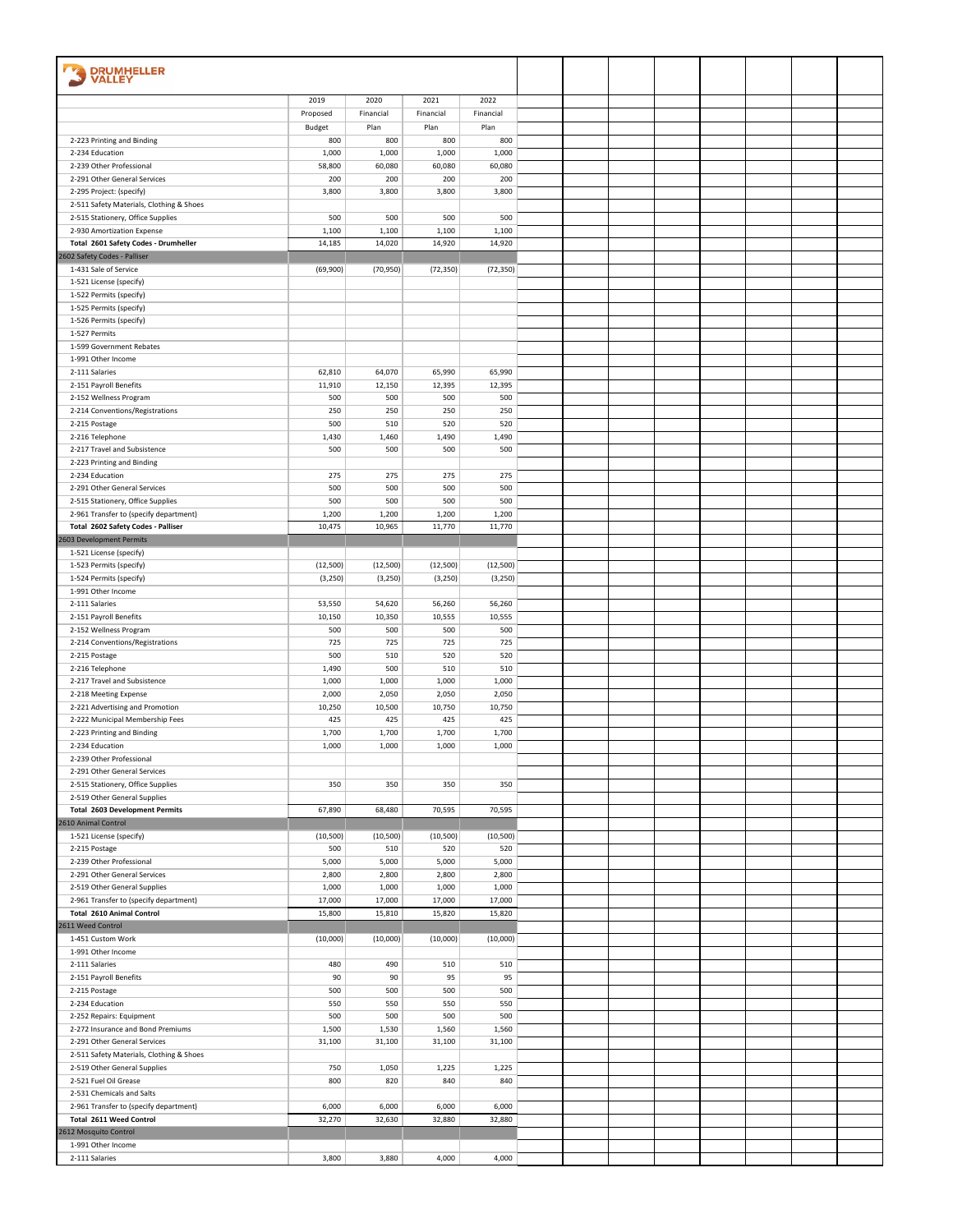| <b>DRUMHELLER</b><br>VALLEY                                                   |                  |                  |                  |                  |  |  |  |  |
|-------------------------------------------------------------------------------|------------------|------------------|------------------|------------------|--|--|--|--|
|                                                                               |                  |                  |                  |                  |  |  |  |  |
|                                                                               | 2019             | 2020             | 2021             | 2022             |  |  |  |  |
|                                                                               | Proposed         | Financial        | Financial        | Financial        |  |  |  |  |
| 2-223 Printing and Binding                                                    | Budget<br>800    | Plan<br>800      | Plan<br>800      | Plan<br>800      |  |  |  |  |
| 2-234 Education                                                               | 1,000            | 1,000            | 1,000            | 1,000            |  |  |  |  |
| 2-239 Other Professional                                                      | 58,800           | 60,080           | 60,080           | 60,080           |  |  |  |  |
| 2-291 Other General Services                                                  | 200              | 200              | 200              | 200              |  |  |  |  |
| 2-295 Project: (specify)                                                      | 3,800            | 3,800            | 3,800            | 3,800            |  |  |  |  |
| 2-511 Safety Materials, Clothing & Shoes<br>2-515 Stationery, Office Supplies | 500              | 500              | 500              | 500              |  |  |  |  |
| 2-930 Amortization Expense                                                    | 1,100            | 1,100            | 1,100            | 1,100            |  |  |  |  |
| Total 2601 Safety Codes - Drumheller                                          | 14,185           | 14,020           | 14,920           | 14,920           |  |  |  |  |
| 2602 Safety Codes - Palliser                                                  |                  |                  |                  |                  |  |  |  |  |
| 1-431 Sale of Service                                                         | (69,900)         | (70, 950)        | (72, 350)        | (72, 350)        |  |  |  |  |
| 1-521 License (specify)<br>1-522 Permits (specify)                            |                  |                  |                  |                  |  |  |  |  |
| 1-525 Permits (specify)                                                       |                  |                  |                  |                  |  |  |  |  |
| 1-526 Permits (specify)                                                       |                  |                  |                  |                  |  |  |  |  |
| 1-527 Permits                                                                 |                  |                  |                  |                  |  |  |  |  |
| 1-599 Government Rebates<br>1-991 Other Income                                |                  |                  |                  |                  |  |  |  |  |
| 2-111 Salaries                                                                | 62,810           | 64,070           | 65,990           | 65,990           |  |  |  |  |
| 2-151 Payroll Benefits                                                        | 11,910           | 12,150           | 12,395           | 12,395           |  |  |  |  |
| 2-152 Wellness Program                                                        | 500              | 500              | 500              | 500              |  |  |  |  |
| 2-214 Conventions/Registrations                                               | 250              | 250              | 250              | 250              |  |  |  |  |
| 2-215 Postage                                                                 | 500              | 510              | 520              | 520              |  |  |  |  |
| 2-216 Telephone<br>2-217 Travel and Subsistence                               | 1,430<br>500     | 1,460<br>500     | 1,490<br>500     | 1,490<br>500     |  |  |  |  |
| 2-223 Printing and Binding                                                    |                  |                  |                  |                  |  |  |  |  |
| 2-234 Education                                                               | 275              | 275              | 275              | 275              |  |  |  |  |
| 2-291 Other General Services                                                  | 500              | 500              | 500              | 500              |  |  |  |  |
| 2-515 Stationery, Office Supplies                                             | 500              | 500              | 500              | 500              |  |  |  |  |
| 2-961 Transfer to (specify department)<br>Total 2602 Safety Codes - Palliser  | 1,200<br>10,475  | 1,200<br>10,965  | 1,200<br>11,770  | 1,200<br>11,770  |  |  |  |  |
| 2603 Development Permits                                                      |                  |                  |                  |                  |  |  |  |  |
| 1-521 License (specify)                                                       |                  |                  |                  |                  |  |  |  |  |
| 1-523 Permits (specify)                                                       | (12,500)         | (12,500)         | (12,500)         | (12, 500)        |  |  |  |  |
| 1-524 Permits (specify)                                                       | (3, 250)         | (3, 250)         | (3, 250)         | (3, 250)         |  |  |  |  |
| 1-991 Other Income<br>2-111 Salaries                                          | 53,550           | 54,620           | 56,260           | 56,260           |  |  |  |  |
| 2-151 Payroll Benefits                                                        | 10,150           | 10,350           | 10,555           | 10,555           |  |  |  |  |
| 2-152 Wellness Program                                                        | 500              | 500              | 500              | 500              |  |  |  |  |
| 2-214 Conventions/Registrations                                               | 725              | 725              | 725              | 725              |  |  |  |  |
| 2-215 Postage                                                                 | 500              | 510              | 520              | 520              |  |  |  |  |
| 2-216 Telephone<br>2-217 Travel and Subsistence                               | 1,490<br>1,000   | 500<br>1,000     | 510<br>1,000     | 510<br>1,000     |  |  |  |  |
| 2-218 Meeting Expense                                                         | 2,000            | 2,050            | 2,050            | 2,050            |  |  |  |  |
| 2-221 Advertising and Promotion                                               | 10,250           | 10,500           | 10,750           | 10,750           |  |  |  |  |
| 2-222 Municipal Membership Fees                                               | 425              | 425              | 425              | 425              |  |  |  |  |
| 2-223 Printing and Binding                                                    | 1,700            | 1,700            | 1,700            | 1,700            |  |  |  |  |
| 2-234 Education<br>2-239 Other Professional                                   | 1,000            | 1,000            | 1,000            | 1,000            |  |  |  |  |
| 2-291 Other General Services                                                  |                  |                  |                  |                  |  |  |  |  |
| 2-515 Stationery, Office Supplies                                             | 350              | 350              | 350              | 350              |  |  |  |  |
| 2-519 Other General Supplies                                                  |                  |                  |                  |                  |  |  |  |  |
| <b>Total 2603 Development Permits</b>                                         | 67,890           | 68,480           | 70,595           | 70,595           |  |  |  |  |
| 2610 Animal Control<br>1-521 License (specify)                                | (10, 500)        | (10, 500)        | (10, 500)        | (10, 500)        |  |  |  |  |
| 2-215 Postage                                                                 | 500              | 510              | 520              | 520              |  |  |  |  |
| 2-239 Other Professional                                                      | 5,000            | 5,000            | 5,000            | 5,000            |  |  |  |  |
| 2-291 Other General Services                                                  | 2,800            | 2,800            | 2,800            | 2,800            |  |  |  |  |
| 2-519 Other General Supplies                                                  | 1,000            | 1,000            | 1,000            | 1,000            |  |  |  |  |
| 2-961 Transfer to (specify department)<br><b>Total 2610 Animal Control</b>    | 17,000<br>15,800 | 17,000<br>15,810 | 17,000<br>15,820 | 17,000<br>15,820 |  |  |  |  |
| 2611 Weed Control                                                             |                  |                  |                  |                  |  |  |  |  |
| 1-451 Custom Work                                                             | (10,000)         | (10,000)         | (10,000)         | (10,000)         |  |  |  |  |
| 1-991 Other Income                                                            |                  |                  |                  |                  |  |  |  |  |
| 2-111 Salaries<br>2-151 Payroll Benefits                                      | 480<br>90        | 490<br>90        | 510<br>95        | 510<br>95        |  |  |  |  |
| 2-215 Postage                                                                 | 500              | 500              | 500              | 500              |  |  |  |  |
| 2-234 Education                                                               | 550              | 550              | 550              | 550              |  |  |  |  |
| 2-252 Repairs: Equipment                                                      | 500              | 500              | 500              | 500              |  |  |  |  |
| 2-272 Insurance and Bond Premiums                                             | 1,500            | 1,530            | 1,560            | 1,560            |  |  |  |  |
| 2-291 Other General Services                                                  | 31,100           | 31,100           | 31,100           | 31,100           |  |  |  |  |
| 2-511 Safety Materials, Clothing & Shoes<br>2-519 Other General Supplies      | 750              | 1,050            | 1,225            | 1,225            |  |  |  |  |
| 2-521 Fuel Oil Grease                                                         | 800              | 820              | 840              | 840              |  |  |  |  |
| 2-531 Chemicals and Salts                                                     |                  |                  |                  |                  |  |  |  |  |
| 2-961 Transfer to (specify department)                                        | 6,000            | 6,000            | 6,000            | 6,000            |  |  |  |  |
| Total 2611 Weed Control                                                       | 32,270           | 32,630           | 32,880           | 32,880           |  |  |  |  |
| 2612 Mosquito Control<br>1-991 Other Income                                   |                  |                  |                  |                  |  |  |  |  |
| 2-111 Salaries                                                                | 3,800            | 3,880            | 4,000            | 4,000            |  |  |  |  |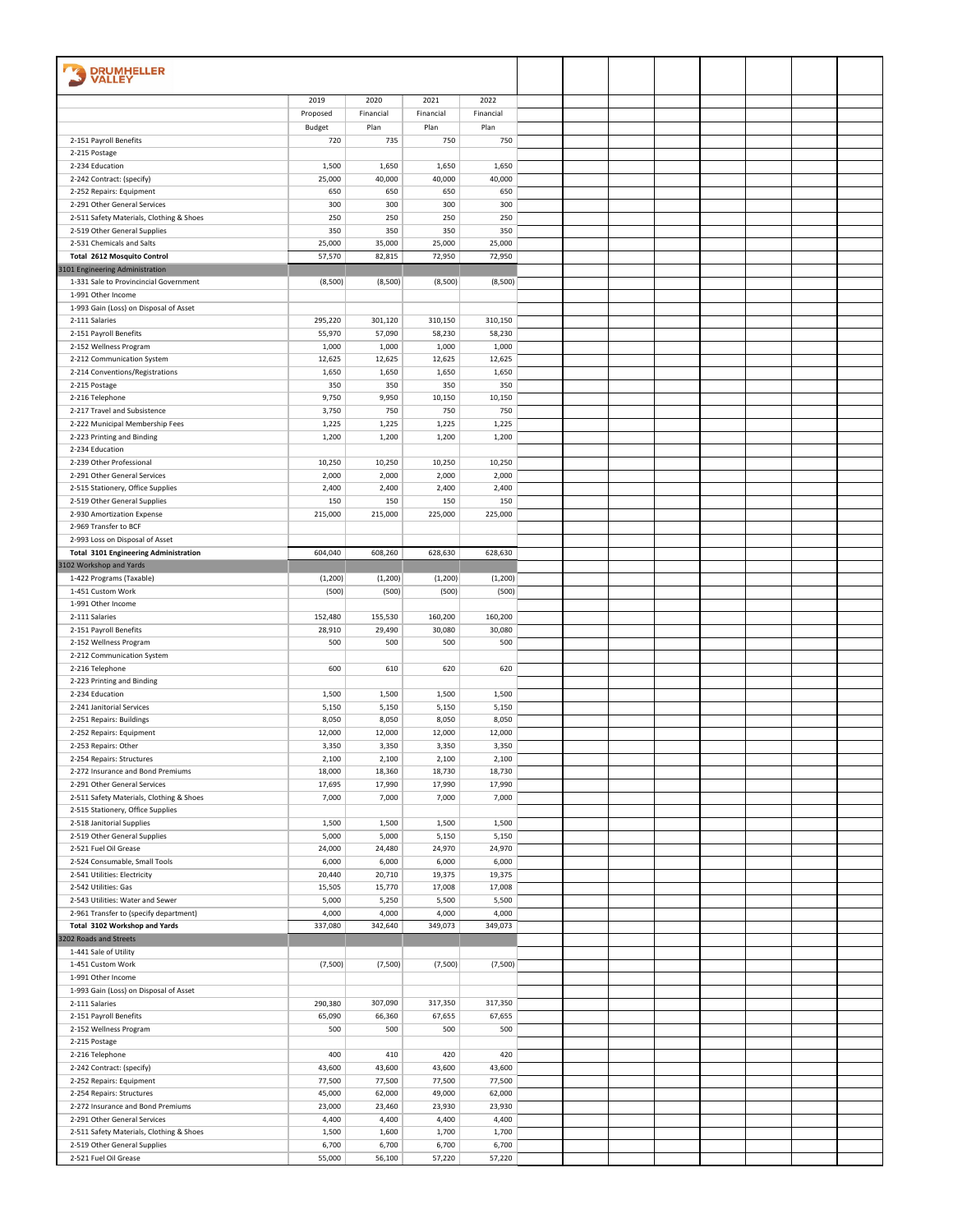| <b>DRUMHELLER</b><br>VALLEY                                              |                   |                   |                   |                   |  |  |  |  |
|--------------------------------------------------------------------------|-------------------|-------------------|-------------------|-------------------|--|--|--|--|
|                                                                          | 2019              | 2020              | 2021              | 2022              |  |  |  |  |
|                                                                          | Proposed          | Financial         | Financial         | Financial         |  |  |  |  |
|                                                                          | Budget            | Plan              | Plan              | Plan              |  |  |  |  |
| 2-151 Payroll Benefits                                                   | 720               | 735               | 750               | 750               |  |  |  |  |
| 2-215 Postage                                                            |                   |                   |                   |                   |  |  |  |  |
| 2-234 Education                                                          | 1,500             | 1,650             | 1,650             | 1,650             |  |  |  |  |
| 2-242 Contract: (specify)                                                | 25,000            | 40,000            | 40,000            | 40,000            |  |  |  |  |
| 2-252 Repairs: Equipment<br>2-291 Other General Services                 | 650<br>300        | 650<br>300        | 650<br>300        | 650<br>300        |  |  |  |  |
| 2-511 Safety Materials, Clothing & Shoes                                 | 250               | 250               | 250               | 250               |  |  |  |  |
| 2-519 Other General Supplies                                             | 350               | 350               | 350               | 350               |  |  |  |  |
| 2-531 Chemicals and Salts                                                | 25,000            | 35,000            | 25,000            | 25,000            |  |  |  |  |
| <b>Total 2612 Mosquito Control</b>                                       | 57,570            | 82,815            | 72,950            | 72,950            |  |  |  |  |
| 3101 Engineering Administration                                          |                   |                   |                   |                   |  |  |  |  |
| 1-331 Sale to Provincincial Government                                   | (8,500)           | (8,500)           | (8,500)           | (8,500)           |  |  |  |  |
| 1-991 Other Income                                                       |                   |                   |                   |                   |  |  |  |  |
| 1-993 Gain (Loss) on Disposal of Asset                                   |                   |                   |                   |                   |  |  |  |  |
| 2-111 Salaries<br>2-151 Payroll Benefits                                 | 295,220<br>55,970 | 301,120<br>57,090 | 310,150<br>58,230 | 310,150<br>58,230 |  |  |  |  |
| 2-152 Wellness Program                                                   | 1,000             | 1,000             | 1,000             | 1,000             |  |  |  |  |
| 2-212 Communication System                                               | 12,625            | 12,625            | 12,625            | 12,625            |  |  |  |  |
| 2-214 Conventions/Registrations                                          | 1,650             | 1,650             | 1,650             | 1,650             |  |  |  |  |
| 2-215 Postage                                                            | 350               | 350               | 350               | 350               |  |  |  |  |
| 2-216 Telephone                                                          | 9,750             | 9,950             | 10,150            | 10,150            |  |  |  |  |
| 2-217 Travel and Subsistence                                             | 3,750             | 750               | 750               | 750               |  |  |  |  |
| 2-222 Municipal Membership Fees                                          | 1,225             | 1,225             | 1,225             | 1,225             |  |  |  |  |
| 2-223 Printing and Binding                                               | 1,200             | 1,200             | 1,200             | 1,200             |  |  |  |  |
| 2-234 Education<br>2-239 Other Professional                              | 10,250            | 10,250            | 10,250            | 10,250            |  |  |  |  |
| 2-291 Other General Services                                             | 2,000             | 2,000             | 2,000             | 2,000             |  |  |  |  |
| 2-515 Stationery, Office Supplies                                        | 2,400             | 2,400             | 2,400             | 2,400             |  |  |  |  |
| 2-519 Other General Supplies                                             | 150               | 150               | 150               | 150               |  |  |  |  |
| 2-930 Amortization Expense                                               | 215,000           | 215,000           | 225,000           | 225,000           |  |  |  |  |
| 2-969 Transfer to BCF                                                    |                   |                   |                   |                   |  |  |  |  |
| 2-993 Loss on Disposal of Asset                                          |                   |                   |                   |                   |  |  |  |  |
| <b>Total 3101 Engineering Administration</b>                             | 604,040           | 608,260           | 628,630           | 628,630           |  |  |  |  |
| 3102 Workshop and Yards                                                  |                   |                   |                   |                   |  |  |  |  |
| 1-422 Programs (Taxable)                                                 | (1, 200)          | (1, 200)          | (1, 200)          | (1, 200)          |  |  |  |  |
| 1-451 Custom Work<br>1-991 Other Income                                  | (500)             | (500)             | (500)             | (500)             |  |  |  |  |
| 2-111 Salaries                                                           | 152,480           | 155,530           | 160,200           | 160,200           |  |  |  |  |
| 2-151 Payroll Benefits                                                   | 28,910            | 29,490            | 30,080            | 30,080            |  |  |  |  |
| 2-152 Wellness Program                                                   | 500               | 500               | 500               | 500               |  |  |  |  |
| 2-212 Communication System                                               |                   |                   |                   |                   |  |  |  |  |
| 2-216 Telephone                                                          | 600               | 610               | 620               | 620               |  |  |  |  |
| 2-223 Printing and Binding                                               |                   |                   |                   |                   |  |  |  |  |
| 2-234 Education                                                          | 1,500             | 1,500             | 1,500             | 1,500             |  |  |  |  |
| 2-241 Janitorial Services<br>2-251 Repairs: Buildings                    | 5,150<br>8,050    | 5,150<br>8,050    | 5,150<br>8,050    | 5,150<br>8,050    |  |  |  |  |
| 2-252 Repairs: Equipment                                                 | 12,000            | 12,000            | 12,000            | 12,000            |  |  |  |  |
| 2-253 Repairs: Other                                                     | 3,350             | 3,350             | 3,350             | 3,350             |  |  |  |  |
| 2-254 Repairs: Structures                                                | 2,100             | 2,100             | 2,100             | 2,100             |  |  |  |  |
| 2-272 Insurance and Bond Premiums                                        | 18,000            | 18,360            | 18,730            | 18,730            |  |  |  |  |
| 2-291 Other General Services                                             | 17,695            | 17,990            | 17,990            | 17,990            |  |  |  |  |
| 2-511 Safety Materials, Clothing & Shoes                                 | 7,000             | 7,000             | 7,000             | 7,000             |  |  |  |  |
| 2-515 Stationery, Office Supplies                                        |                   |                   |                   |                   |  |  |  |  |
| 2-518 Janitorial Supplies                                                | 1,500             | 1,500             | 1,500             | 1,500             |  |  |  |  |
| 2-519 Other General Supplies<br>2-521 Fuel Oil Grease                    | 5,000<br>24,000   | 5,000<br>24,480   | 5,150<br>24,970   | 5,150<br>24,970   |  |  |  |  |
| 2-524 Consumable, Small Tools                                            | 6,000             | 6,000             | 6,000             | 6,000             |  |  |  |  |
| 2-541 Utilities: Electricity                                             | 20,440            | 20,710            | 19,375            | 19,375            |  |  |  |  |
| 2-542 Utilities: Gas                                                     | 15,505            | 15,770            | 17,008            | 17,008            |  |  |  |  |
| 2-543 Utilities: Water and Sewer                                         | 5,000             | 5,250             | 5,500             | 5,500             |  |  |  |  |
| 2-961 Transfer to (specify department)                                   | 4,000             | 4,000             | 4,000             | 4,000             |  |  |  |  |
| Total 3102 Workshop and Yards                                            | 337,080           | 342,640           | 349,073           | 349,073           |  |  |  |  |
| 3202 Roads and Streets                                                   |                   |                   |                   |                   |  |  |  |  |
| 1-441 Sale of Utility                                                    |                   |                   |                   |                   |  |  |  |  |
| 1-451 Custom Work<br>1-991 Other Income                                  | (7,500)           | (7,500)           | (7,500)           | (7,500)           |  |  |  |  |
| 1-993 Gain (Loss) on Disposal of Asset                                   |                   |                   |                   |                   |  |  |  |  |
| 2-111 Salaries                                                           | 290,380           | 307,090           | 317,350           | 317,350           |  |  |  |  |
| 2-151 Payroll Benefits                                                   | 65,090            | 66,360            | 67,655            | 67,655            |  |  |  |  |
| 2-152 Wellness Program                                                   | 500               | 500               | 500               | 500               |  |  |  |  |
| 2-215 Postage                                                            |                   |                   |                   |                   |  |  |  |  |
| 2-216 Telephone                                                          | 400               | 410               | 420               | 420               |  |  |  |  |
| 2-242 Contract: (specify)                                                | 43,600            | 43,600            | 43,600            | 43,600            |  |  |  |  |
| 2-252 Repairs: Equipment                                                 | 77,500            | 77,500            | 77,500            | 77,500            |  |  |  |  |
| 2-254 Repairs: Structures                                                | 45,000            | 62,000            | 49,000            | 62,000            |  |  |  |  |
| 2-272 Insurance and Bond Premiums                                        | 23,000            | 23,460            | 23,930            | 23,930            |  |  |  |  |
| 2-291 Other General Services<br>2-511 Safety Materials, Clothing & Shoes | 4,400<br>1,500    | 4,400<br>1,600    | 4,400<br>1,700    | 4,400<br>1,700    |  |  |  |  |
| 2-519 Other General Supplies                                             | 6,700             | 6,700             | 6,700             | 6,700             |  |  |  |  |
| 2-521 Fuel Oil Grease                                                    | 55,000            | 56,100            | 57,220            | 57,220            |  |  |  |  |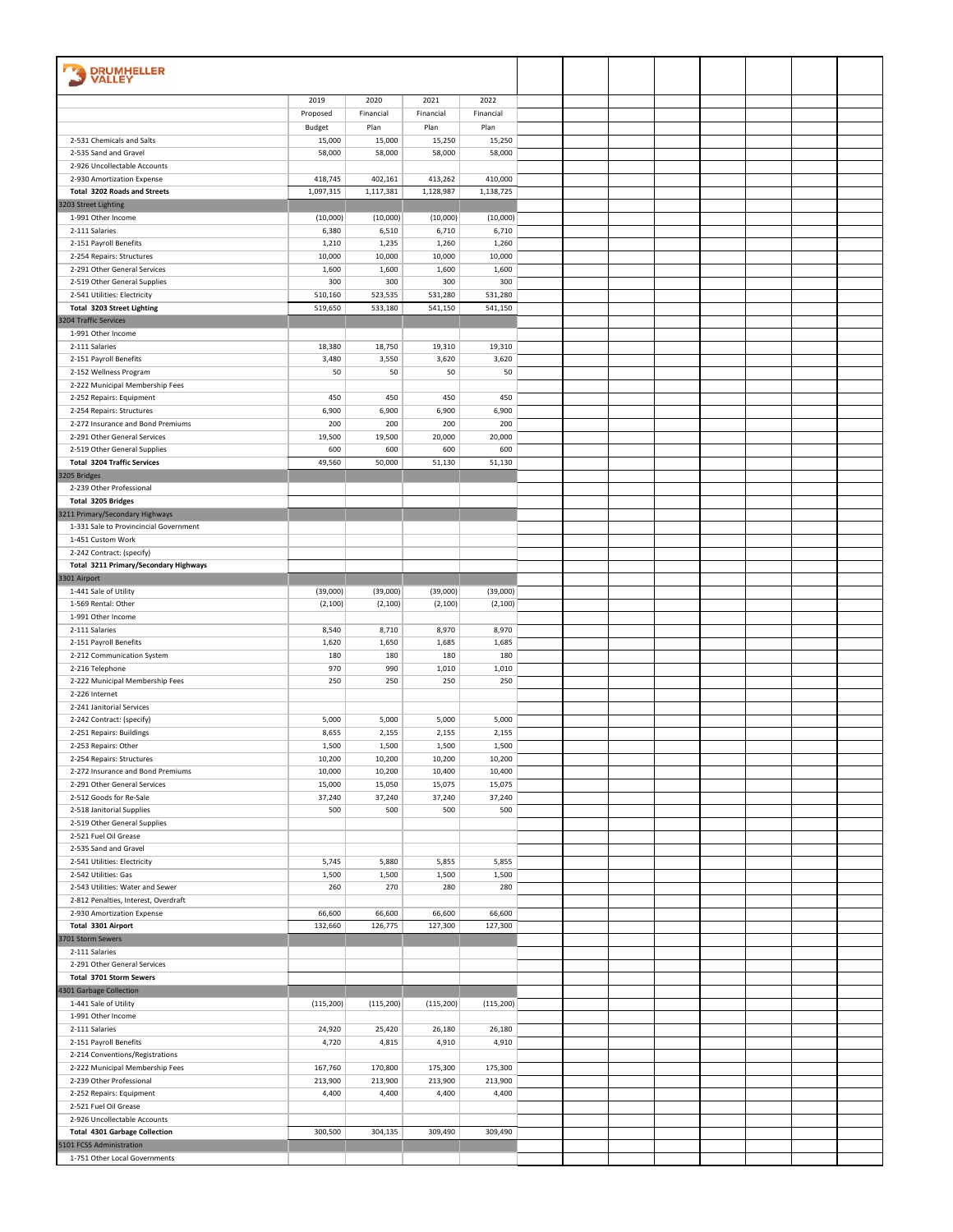| <b>DRUMHELLER</b><br><b>VALLEY</b>                    |                      |                      |                      |                      |  |  |  |  |
|-------------------------------------------------------|----------------------|----------------------|----------------------|----------------------|--|--|--|--|
|                                                       | 2019                 | 2020                 | 2021                 | 2022                 |  |  |  |  |
|                                                       | Proposed             | Financial            | Financial            | Financial            |  |  |  |  |
|                                                       | Budget               | Plan                 | Plan                 | Plan                 |  |  |  |  |
| 2-531 Chemicals and Salts                             | 15,000               | 15,000               | 15,250               | 15,250               |  |  |  |  |
| 2-535 Sand and Gravel                                 | 58,000               | 58,000               | 58,000               | 58,000               |  |  |  |  |
| 2-926 Uncollectable Accounts                          |                      |                      |                      |                      |  |  |  |  |
| 2-930 Amortization Expense                            | 418,745              | 402,161              | 413,262              | 410,000              |  |  |  |  |
| Total 3202 Roads and Streets                          | 1,097,315            | 1,117,381            | 1,128,987            | 1,138,725            |  |  |  |  |
| 3203 Street Lighting                                  |                      |                      |                      |                      |  |  |  |  |
| 1-991 Other Income                                    | (10,000)             | (10,000)             | (10,000)             | (10,000)             |  |  |  |  |
| 2-111 Salaries                                        | 6,380                | 6,510                | 6,710                | 6,710                |  |  |  |  |
| 2-151 Payroll Benefits                                | 1,210                | 1,235                | 1,260                | 1,260                |  |  |  |  |
| 2-254 Repairs: Structures                             | 10,000               | 10,000               | 10,000               | 10,000               |  |  |  |  |
| 2-291 Other General Services                          | 1,600                | 1,600                | 1,600                | 1,600                |  |  |  |  |
| 2-519 Other General Supplies                          | 300                  | 300                  | 300                  | 300                  |  |  |  |  |
| 2-541 Utilities: Electricity                          | 510,160              | 523,535              | 531,280              | 531,280              |  |  |  |  |
| <b>Total 3203 Street Lighting</b>                     | 519,650              | 533,180              | 541,150              | 541,150              |  |  |  |  |
| 3204 Traffic Services<br>1-991 Other Income           |                      |                      |                      |                      |  |  |  |  |
| 2-111 Salaries                                        | 18,380               | 18,750               | 19,310               | 19,310               |  |  |  |  |
| 2-151 Payroll Benefits                                | 3,480                | 3,550                | 3,620                | 3,620                |  |  |  |  |
| 2-152 Wellness Program                                | 50                   | 50                   | 50                   | 50                   |  |  |  |  |
| 2-222 Municipal Membership Fees                       |                      |                      |                      |                      |  |  |  |  |
| 2-252 Repairs: Equipment                              | 450                  | 450                  | 450                  | 450                  |  |  |  |  |
| 2-254 Repairs: Structures                             | 6,900                | 6,900                | 6,900                | 6,900                |  |  |  |  |
| 2-272 Insurance and Bond Premiums                     | 200                  | 200                  | 200                  | 200                  |  |  |  |  |
| 2-291 Other General Services                          | 19,500               | 19,500               | 20,000               | 20,000               |  |  |  |  |
| 2-519 Other General Supplies                          | 600                  | 600                  | 600                  | 600                  |  |  |  |  |
| <b>Total 3204 Traffic Services</b>                    | 49,560               | 50,000               | 51,130               | 51,130               |  |  |  |  |
| 3205 Bridges                                          |                      |                      |                      |                      |  |  |  |  |
| 2-239 Other Professional                              |                      |                      |                      |                      |  |  |  |  |
| <b>Total 3205 Bridges</b>                             |                      |                      |                      |                      |  |  |  |  |
| 3211 Primary/Secondary Highways                       |                      |                      |                      |                      |  |  |  |  |
| 1-331 Sale to Provincincial Government                |                      |                      |                      |                      |  |  |  |  |
| 1-451 Custom Work                                     |                      |                      |                      |                      |  |  |  |  |
| 2-242 Contract: (specify)                             |                      |                      |                      |                      |  |  |  |  |
| Total 3211 Primary/Secondary Highways                 |                      |                      |                      |                      |  |  |  |  |
| 3301 Airport                                          |                      |                      |                      |                      |  |  |  |  |
| 1-441 Sale of Utility<br>1-569 Rental: Other          | (39,000)<br>(2, 100) | (39,000)<br>(2, 100) | (39,000)<br>(2, 100) | (39,000)<br>(2, 100) |  |  |  |  |
| 1-991 Other Income                                    |                      |                      |                      |                      |  |  |  |  |
| 2-111 Salaries                                        | 8,540                | 8,710                | 8,970                | 8,970                |  |  |  |  |
| 2-151 Payroll Benefits                                | 1,620                | 1,650                | 1,685                | 1,685                |  |  |  |  |
| 2-212 Communication System                            | 180                  | 180                  | 180                  | 180                  |  |  |  |  |
| 2-216 Telephone                                       | 970                  | 990                  | 1,010                | 1,010                |  |  |  |  |
| 2-222 Municipal Membership Fees                       | 250                  | 250                  | 250                  | 250                  |  |  |  |  |
| 2-226 Internet                                        |                      |                      |                      |                      |  |  |  |  |
| 2-241 Janitorial Services                             |                      |                      |                      |                      |  |  |  |  |
| 2-242 Contract: (specify)                             | 5,000                | 5,000                | 5,000                | 5,000                |  |  |  |  |
| 2-251 Repairs: Buildings                              | 8,655                | 2,155                | 2,155                | 2,155                |  |  |  |  |
| 2-253 Repairs: Other                                  | 1,500                | 1,500                | 1,500                | 1,500                |  |  |  |  |
| 2-254 Repairs: Structures                             | 10,200               | 10,200               | 10,200               | 10,200               |  |  |  |  |
| 2-272 Insurance and Bond Premiums                     | 10,000               | 10,200               | 10,400               | 10,400               |  |  |  |  |
| 2-291 Other General Services                          | 15,000               | 15,050               | 15,075               | 15,075               |  |  |  |  |
| 2-512 Goods for Re-Sale                               | 37,240               | 37,240               | 37,240               | 37,240               |  |  |  |  |
| 2-518 Janitorial Supplies                             | 500                  | 500                  | 500                  | 500                  |  |  |  |  |
| 2-519 Other General Supplies                          |                      |                      |                      |                      |  |  |  |  |
| 2-521 Fuel Oil Grease                                 |                      |                      |                      |                      |  |  |  |  |
| 2-535 Sand and Gravel<br>2-541 Utilities: Electricity | 5,745                | 5,880                | 5,855                | 5,855                |  |  |  |  |
| 2-542 Utilities: Gas                                  | 1,500                | 1,500                | 1,500                | 1,500                |  |  |  |  |
| 2-543 Utilities: Water and Sewer                      | 260                  | 270                  | 280                  | 280                  |  |  |  |  |
| 2-812 Penalties, Interest, Overdraft                  |                      |                      |                      |                      |  |  |  |  |
| 2-930 Amortization Expense                            | 66,600               | 66,600               | 66,600               | 66,600               |  |  |  |  |
| Total 3301 Airport                                    | 132,660              | 126,775              | 127,300              | 127,300              |  |  |  |  |
| 3701 Storm Sewers                                     |                      |                      |                      |                      |  |  |  |  |
| 2-111 Salaries                                        |                      |                      |                      |                      |  |  |  |  |
| 2-291 Other General Services                          |                      |                      |                      |                      |  |  |  |  |
| Total 3701 Storm Sewers                               |                      |                      |                      |                      |  |  |  |  |
| 4301 Garbage Collection                               |                      |                      |                      |                      |  |  |  |  |
| 1-441 Sale of Utility                                 | (115, 200)           | (115, 200)           | (115, 200)           | (115, 200)           |  |  |  |  |
| 1-991 Other Income                                    |                      |                      |                      |                      |  |  |  |  |
| 2-111 Salaries                                        | 24,920               | 25,420               | 26,180               | 26,180               |  |  |  |  |
| 2-151 Payroll Benefits                                | 4,720                | 4,815                | 4,910                | 4,910                |  |  |  |  |
| 2-214 Conventions/Registrations                       |                      |                      |                      |                      |  |  |  |  |
| 2-222 Municipal Membership Fees                       | 167,760              | 170,800              | 175,300              | 175,300              |  |  |  |  |
| 2-239 Other Professional                              | 213,900              | 213,900              | 213,900              | 213,900              |  |  |  |  |
| 2-252 Repairs: Equipment                              | 4,400                | 4,400                | 4,400                | 4,400                |  |  |  |  |
| 2-521 Fuel Oil Grease<br>2-926 Uncollectable Accounts |                      |                      |                      |                      |  |  |  |  |
| <b>Total 4301 Garbage Collection</b>                  | 300,500              | 304,135              | 309,490              | 309,490              |  |  |  |  |
| 5101 FCSS Administration                              |                      |                      |                      |                      |  |  |  |  |
| 1-751 Other Local Governments                         |                      |                      |                      |                      |  |  |  |  |
|                                                       |                      |                      |                      |                      |  |  |  |  |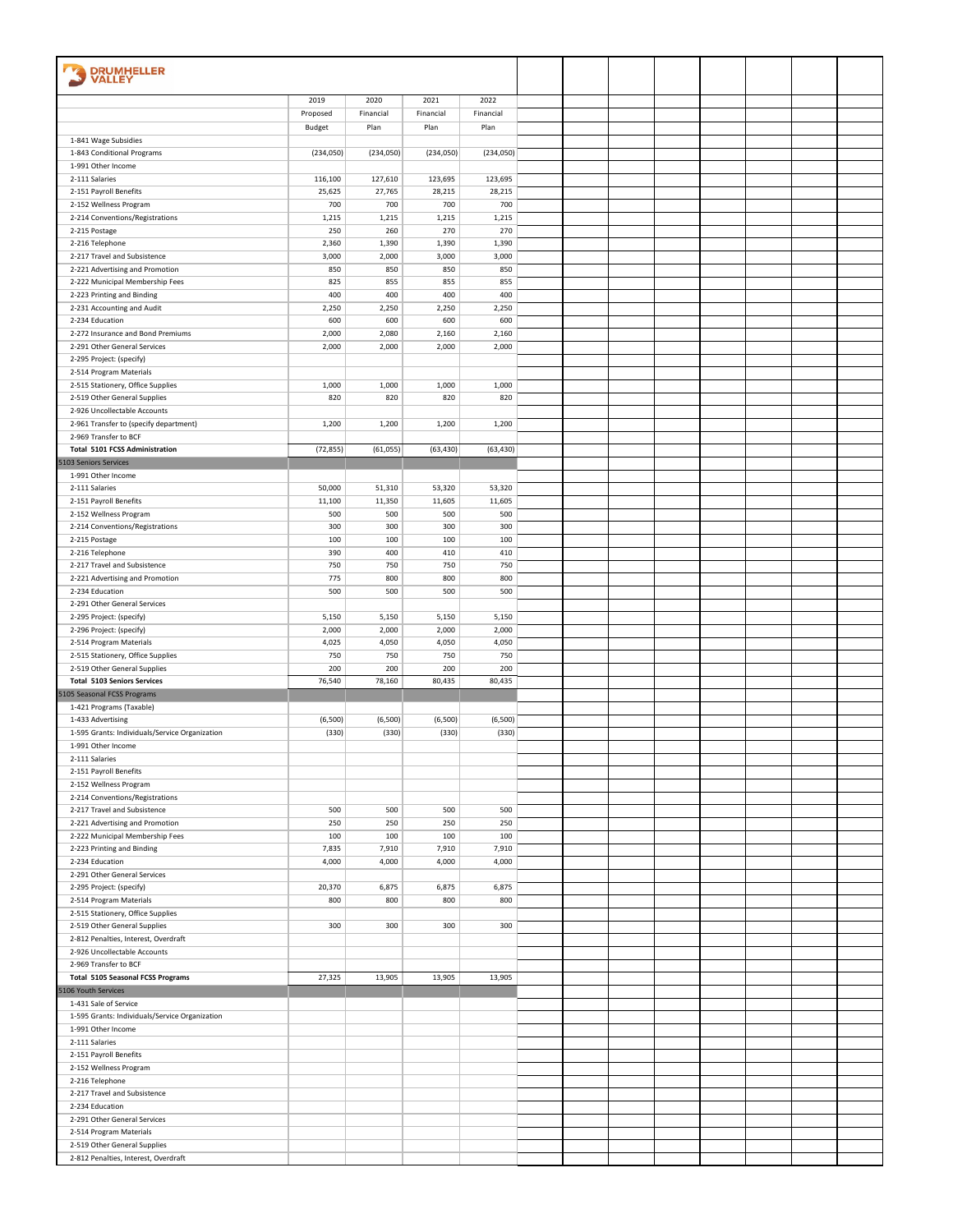| <b>DRUMHELLER</b><br><b>VALLEY</b>                                   |                    |                   |                   |                   |  |  |  |  |
|----------------------------------------------------------------------|--------------------|-------------------|-------------------|-------------------|--|--|--|--|
|                                                                      |                    |                   |                   |                   |  |  |  |  |
|                                                                      | 2019               | 2020              | 2021<br>Financial | 2022              |  |  |  |  |
|                                                                      | Proposed<br>Budget | Financial<br>Plan | Plan              | Financial<br>Plan |  |  |  |  |
| 1-841 Wage Subsidies                                                 |                    |                   |                   |                   |  |  |  |  |
| 1-843 Conditional Programs                                           | (234, 050)         | (234,050)         | (234,050)         | (234,050)         |  |  |  |  |
| 1-991 Other Income                                                   |                    |                   |                   |                   |  |  |  |  |
| 2-111 Salaries                                                       | 116,100            | 127,610           | 123,695           | 123,695           |  |  |  |  |
| 2-151 Payroll Benefits                                               | 25,625             | 27,765            | 28,215            | 28,215            |  |  |  |  |
| 2-152 Wellness Program                                               | 700                | 700               | 700<br>1,215      | 700<br>1,215      |  |  |  |  |
| 2-214 Conventions/Registrations<br>2-215 Postage                     | 1,215<br>250       | 1,215<br>260      | 270               | 270               |  |  |  |  |
| 2-216 Telephone                                                      | 2,360              | 1,390             | 1,390             | 1,390             |  |  |  |  |
| 2-217 Travel and Subsistence                                         | 3,000              | 2,000             | 3,000             | 3,000             |  |  |  |  |
| 2-221 Advertising and Promotion                                      | 850                | 850               | 850               | 850               |  |  |  |  |
| 2-222 Municipal Membership Fees                                      | 825                | 855               | 855               | 855               |  |  |  |  |
| 2-223 Printing and Binding                                           | 400                | 400               | 400               | 400               |  |  |  |  |
| 2-231 Accounting and Audit                                           | 2,250              | 2,250             | 2,250             | 2,250             |  |  |  |  |
| 2-234 Education                                                      | 600                | 600               | 600               | 600               |  |  |  |  |
| 2-272 Insurance and Bond Premiums<br>2-291 Other General Services    | 2,000<br>2,000     | 2,080<br>2,000    | 2,160<br>2,000    | 2,160<br>2,000    |  |  |  |  |
| 2-295 Project: (specify)                                             |                    |                   |                   |                   |  |  |  |  |
| 2-514 Program Materials                                              |                    |                   |                   |                   |  |  |  |  |
| 2-515 Stationery, Office Supplies                                    | 1,000              | 1,000             | 1,000             | 1,000             |  |  |  |  |
| 2-519 Other General Supplies                                         | 820                | 820               | 820               | 820               |  |  |  |  |
| 2-926 Uncollectable Accounts                                         |                    |                   |                   |                   |  |  |  |  |
| 2-961 Transfer to (specify department)                               | 1,200              | 1,200             | 1,200             | 1,200             |  |  |  |  |
| 2-969 Transfer to BCF                                                |                    |                   |                   |                   |  |  |  |  |
| Total 5101 FCSS Administration<br>5103 Seniors Services              | (72, 855)          | (61,055)          | (63, 430)         | (63, 430)         |  |  |  |  |
| 1-991 Other Income                                                   |                    |                   |                   |                   |  |  |  |  |
| 2-111 Salaries                                                       | 50,000             | 51,310            | 53,320            | 53,320            |  |  |  |  |
| 2-151 Payroll Benefits                                               | 11,100             | 11,350            | 11,605            | 11,605            |  |  |  |  |
| 2-152 Wellness Program                                               | 500                | 500               | 500               | 500               |  |  |  |  |
| 2-214 Conventions/Registrations                                      | 300                | 300               | 300               | 300               |  |  |  |  |
| 2-215 Postage                                                        | 100                | 100               | 100               | 100               |  |  |  |  |
| 2-216 Telephone                                                      | 390                | 400               | 410               | 410               |  |  |  |  |
| 2-217 Travel and Subsistence                                         | 750                | 750               | 750               | 750               |  |  |  |  |
| 2-221 Advertising and Promotion<br>2-234 Education                   | 775<br>500         | 800<br>500        | 800<br>500        | 800<br>500        |  |  |  |  |
| 2-291 Other General Services                                         |                    |                   |                   |                   |  |  |  |  |
| 2-295 Project: (specify)                                             | 5,150              | 5,150             | 5,150             | 5,150             |  |  |  |  |
| 2-296 Project: (specify)                                             | 2,000              | 2,000             | 2,000             | 2,000             |  |  |  |  |
| 2-514 Program Materials                                              | 4,025              | 4,050             | 4,050             | 4,050             |  |  |  |  |
| 2-515 Stationery, Office Supplies                                    | 750                | 750               | 750               | 750               |  |  |  |  |
| 2-519 Other General Supplies                                         | 200                | 200               | 200               | 200               |  |  |  |  |
| <b>Total 5103 Seniors Services</b>                                   | 76,540             | 78,160            | 80,435            | 80,435            |  |  |  |  |
| 5105 Seasonal FCSS Programs<br>1-421 Programs (Taxable)              |                    |                   |                   |                   |  |  |  |  |
| 1-433 Advertising                                                    | (6,500)            | (6,500)           | (6,500)           | (6,500)           |  |  |  |  |
| 1-595 Grants: Individuals/Service Organization                       | (330)              | (330)             | (330)             | (330)             |  |  |  |  |
| 1-991 Other Income                                                   |                    |                   |                   |                   |  |  |  |  |
| 2-111 Salaries                                                       |                    |                   |                   |                   |  |  |  |  |
| 2-151 Payroll Benefits                                               |                    |                   |                   |                   |  |  |  |  |
| 2-152 Wellness Program                                               |                    |                   |                   |                   |  |  |  |  |
| 2-214 Conventions/Registrations                                      |                    |                   |                   |                   |  |  |  |  |
| 2-217 Travel and Subsistence<br>2-221 Advertising and Promotion      | 500<br>250         | 500<br>250        | 500<br>250        | 500<br>250        |  |  |  |  |
| 2-222 Municipal Membership Fees                                      | 100                | 100               | 100               | 100               |  |  |  |  |
| 2-223 Printing and Binding                                           | 7,835              | 7,910             | 7,910             | 7,910             |  |  |  |  |
| 2-234 Education                                                      | 4,000              | 4,000             | 4,000             | 4,000             |  |  |  |  |
| 2-291 Other General Services                                         |                    |                   |                   |                   |  |  |  |  |
| 2-295 Project: (specify)                                             | 20,370             | 6,875             | 6,875             | 6,875             |  |  |  |  |
| 2-514 Program Materials                                              | 800                | 800               | 800               | 800               |  |  |  |  |
| 2-515 Stationery, Office Supplies                                    | 300                | 300               | 300               | 300               |  |  |  |  |
| 2-519 Other General Supplies<br>2-812 Penalties, Interest, Overdraft |                    |                   |                   |                   |  |  |  |  |
| 2-926 Uncollectable Accounts                                         |                    |                   |                   |                   |  |  |  |  |
| 2-969 Transfer to BCF                                                |                    |                   |                   |                   |  |  |  |  |
| <b>Total 5105 Seasonal FCSS Programs</b>                             | 27,325             | 13,905            | 13,905            | 13,905            |  |  |  |  |
| 5106 Youth Services                                                  |                    |                   |                   |                   |  |  |  |  |
| 1-431 Sale of Service                                                |                    |                   |                   |                   |  |  |  |  |
| 1-595 Grants: Individuals/Service Organization                       |                    |                   |                   |                   |  |  |  |  |
| 1-991 Other Income                                                   |                    |                   |                   |                   |  |  |  |  |
| 2-111 Salaries<br>2-151 Payroll Benefits                             |                    |                   |                   |                   |  |  |  |  |
| 2-152 Wellness Program                                               |                    |                   |                   |                   |  |  |  |  |
| 2-216 Telephone                                                      |                    |                   |                   |                   |  |  |  |  |
| 2-217 Travel and Subsistence                                         |                    |                   |                   |                   |  |  |  |  |
| 2-234 Education                                                      |                    |                   |                   |                   |  |  |  |  |
| 2-291 Other General Services                                         |                    |                   |                   |                   |  |  |  |  |
| 2-514 Program Materials                                              |                    |                   |                   |                   |  |  |  |  |
| 2-519 Other General Supplies                                         |                    |                   |                   |                   |  |  |  |  |
| 2-812 Penalties, Interest, Overdraft                                 |                    |                   |                   |                   |  |  |  |  |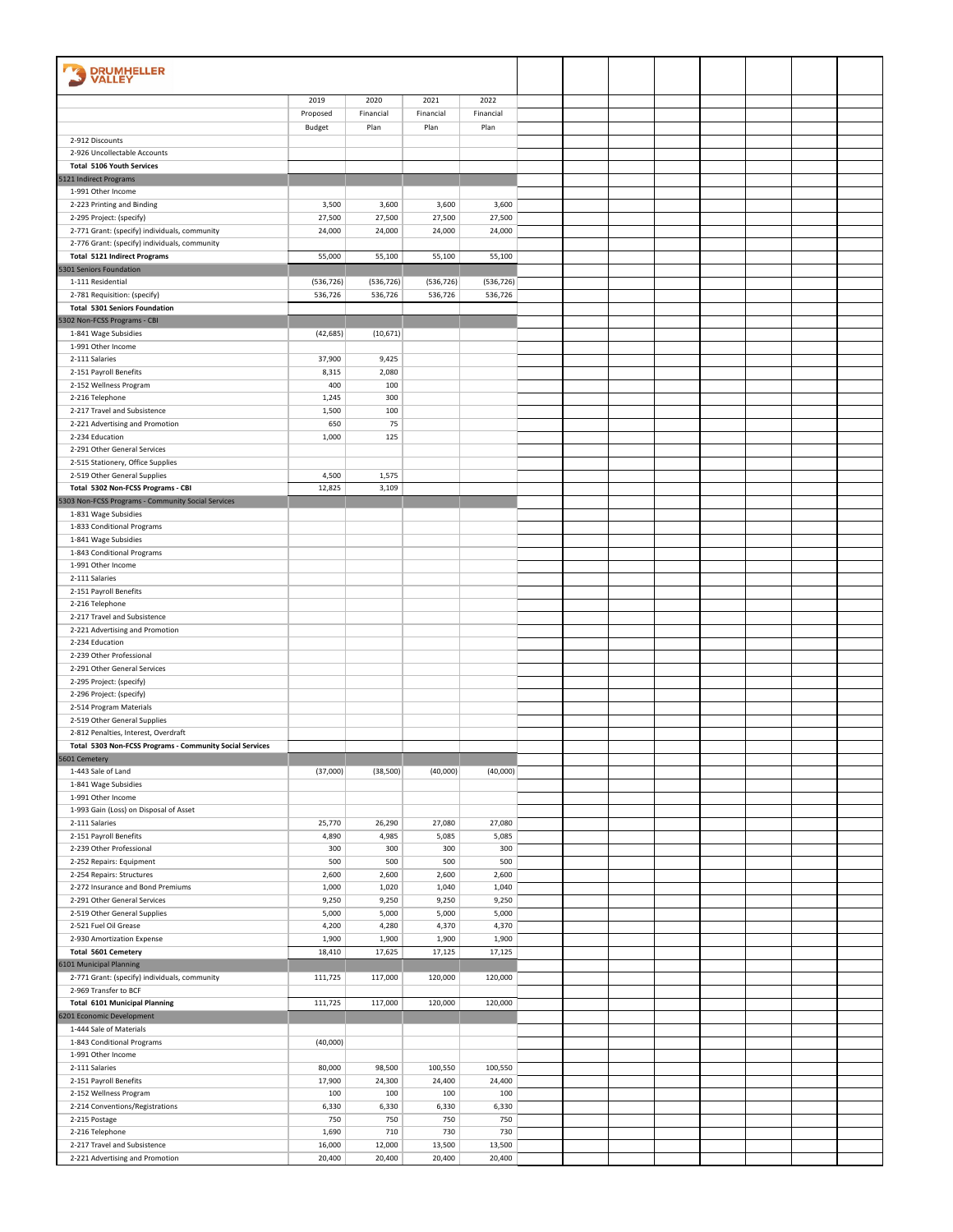| <b>DRUMHELLER</b><br>VALLEY                                      |                |                |                |                |  |  |  |  |
|------------------------------------------------------------------|----------------|----------------|----------------|----------------|--|--|--|--|
|                                                                  | 2019           | 2020           | 2021           | 2022           |  |  |  |  |
|                                                                  | Proposed       | Financial      | Financial      | Financial      |  |  |  |  |
|                                                                  | Budget         | Plan           | Plan           | Plan           |  |  |  |  |
| 2-912 Discounts                                                  |                |                |                |                |  |  |  |  |
| 2-926 Uncollectable Accounts<br><b>Total 5106 Youth Services</b> |                |                |                |                |  |  |  |  |
| 5121 Indirect Programs                                           |                |                |                |                |  |  |  |  |
| 1-991 Other Income                                               |                |                |                |                |  |  |  |  |
| 2-223 Printing and Binding                                       | 3,500          | 3,600          | 3,600          | 3,600          |  |  |  |  |
| 2-295 Project: (specify)                                         | 27,500         | 27,500         | 27,500         | 27,500         |  |  |  |  |
| 2-771 Grant: (specify) individuals, community                    | 24,000         | 24,000         | 24,000         | 24,000         |  |  |  |  |
| 2-776 Grant: (specify) individuals, community                    |                |                |                |                |  |  |  |  |
| <b>Total 5121 Indirect Programs</b>                              | 55,000         | 55,100         | 55,100         | 55,100         |  |  |  |  |
| 5301 Seniors Foundation<br>1-111 Residential                     | (536, 726)     | (536, 726)     | (536, 726)     | (536, 726)     |  |  |  |  |
| 2-781 Requisition: (specify)                                     | 536,726        | 536,726        | 536,726        | 536,726        |  |  |  |  |
| <b>Total 5301 Seniors Foundation</b>                             |                |                |                |                |  |  |  |  |
| 5302 Non-FCSS Programs - CBI                                     |                |                |                |                |  |  |  |  |
| 1-841 Wage Subsidies                                             | (42, 685)      | (10, 671)      |                |                |  |  |  |  |
| 1-991 Other Income                                               |                |                |                |                |  |  |  |  |
| 2-111 Salaries                                                   | 37,900         | 9,425          |                |                |  |  |  |  |
| 2-151 Payroll Benefits                                           | 8,315          | 2,080          |                |                |  |  |  |  |
| 2-152 Wellness Program                                           | 400            | 100            |                |                |  |  |  |  |
| 2-216 Telephone<br>2-217 Travel and Subsistence                  | 1,245<br>1,500 | 300<br>100     |                |                |  |  |  |  |
| 2-221 Advertising and Promotion                                  | 650            | 75             |                |                |  |  |  |  |
| 2-234 Education                                                  | 1,000          | 125            |                |                |  |  |  |  |
| 2-291 Other General Services                                     |                |                |                |                |  |  |  |  |
| 2-515 Stationery, Office Supplies                                |                |                |                |                |  |  |  |  |
| 2-519 Other General Supplies                                     | 4,500          | 1,575          |                |                |  |  |  |  |
| Total 5302 Non-FCSS Programs - CBI                               | 12,825         | 3,109          |                |                |  |  |  |  |
| 5303 Non-FCSS Programs - Community Social Services               |                |                |                |                |  |  |  |  |
| 1-831 Wage Subsidies                                             |                |                |                |                |  |  |  |  |
| 1-833 Conditional Programs<br>1-841 Wage Subsidies               |                |                |                |                |  |  |  |  |
| 1-843 Conditional Programs                                       |                |                |                |                |  |  |  |  |
| 1-991 Other Income                                               |                |                |                |                |  |  |  |  |
| 2-111 Salaries                                                   |                |                |                |                |  |  |  |  |
| 2-151 Payroll Benefits                                           |                |                |                |                |  |  |  |  |
| 2-216 Telephone                                                  |                |                |                |                |  |  |  |  |
| 2-217 Travel and Subsistence                                     |                |                |                |                |  |  |  |  |
| 2-221 Advertising and Promotion                                  |                |                |                |                |  |  |  |  |
| 2-234 Education<br>2-239 Other Professional                      |                |                |                |                |  |  |  |  |
| 2-291 Other General Services                                     |                |                |                |                |  |  |  |  |
| 2-295 Project: (specify)                                         |                |                |                |                |  |  |  |  |
| 2-296 Project: (specify)                                         |                |                |                |                |  |  |  |  |
| 2-514 Program Materials                                          |                |                |                |                |  |  |  |  |
| 2-519 Other General Supplies                                     |                |                |                |                |  |  |  |  |
| 2-812 Penalties, Interest, Overdraft                             |                |                |                |                |  |  |  |  |
| Total 5303 Non-FCSS Programs - Community Social Services         |                |                |                |                |  |  |  |  |
| 5601 Cemetery                                                    |                |                |                |                |  |  |  |  |
| 1-443 Sale of Land                                               | (37,000)       | (38, 500)      | (40,000)       | (40,000)       |  |  |  |  |
| 1-841 Wage Subsidies<br>1-991 Other Income                       |                |                |                |                |  |  |  |  |
| 1-993 Gain (Loss) on Disposal of Asset                           |                |                |                |                |  |  |  |  |
| 2-111 Salaries                                                   | 25,770         | 26,290         | 27,080         | 27,080         |  |  |  |  |
| 2-151 Payroll Benefits                                           | 4,890          | 4,985          | 5,085          | 5,085          |  |  |  |  |
| 2-239 Other Professional                                         | 300            | 300            | 300            | 300            |  |  |  |  |
| 2-252 Repairs: Equipment                                         | 500            | 500            | 500            | 500            |  |  |  |  |
| 2-254 Repairs: Structures                                        | 2,600          | 2,600          | 2,600          | 2,600          |  |  |  |  |
| 2-272 Insurance and Bond Premiums                                | 1,000          | 1,020          | 1,040          | 1,040          |  |  |  |  |
| 2-291 Other General Services<br>2-519 Other General Supplies     | 9,250<br>5,000 | 9,250          | 9,250          | 9,250          |  |  |  |  |
| 2-521 Fuel Oil Grease                                            | 4,200          | 5,000<br>4,280 | 5,000<br>4,370 | 5,000<br>4,370 |  |  |  |  |
| 2-930 Amortization Expense                                       | 1,900          | 1,900          | 1,900          | 1,900          |  |  |  |  |
| Total 5601 Cemetery                                              | 18,410         | 17,625         | 17,125         | 17,125         |  |  |  |  |
| 6101 Municipal Planning                                          |                |                |                |                |  |  |  |  |
| 2-771 Grant: (specify) individuals, community                    | 111,725        | 117,000        | 120,000        | 120,000        |  |  |  |  |
| 2-969 Transfer to BCF                                            |                |                |                |                |  |  |  |  |
| <b>Total 6101 Municipal Planning</b>                             | 111,725        | 117,000        | 120,000        | 120,000        |  |  |  |  |
| 6201 Economic Development                                        |                |                |                |                |  |  |  |  |
| 1-444 Sale of Materials                                          |                |                |                |                |  |  |  |  |
| 1-843 Conditional Programs<br>1-991 Other Income                 | (40,000)       |                |                |                |  |  |  |  |
| 2-111 Salaries                                                   | 80,000         | 98,500         | 100,550        | 100,550        |  |  |  |  |
| 2-151 Payroll Benefits                                           | 17,900         | 24,300         | 24,400         | 24,400         |  |  |  |  |
| 2-152 Wellness Program                                           | 100            | 100            | 100            | 100            |  |  |  |  |
| 2-214 Conventions/Registrations                                  | 6,330          | 6,330          | 6,330          | 6,330          |  |  |  |  |
| 2-215 Postage                                                    | 750            | 750            | 750            | 750            |  |  |  |  |
| 2-216 Telephone                                                  | 1,690          | 710            | 730            | 730            |  |  |  |  |
| 2-217 Travel and Subsistence                                     | 16,000         | 12,000         | 13,500         | 13,500         |  |  |  |  |
| 2-221 Advertising and Promotion                                  | 20,400         | 20,400         | 20,400         | 20,400         |  |  |  |  |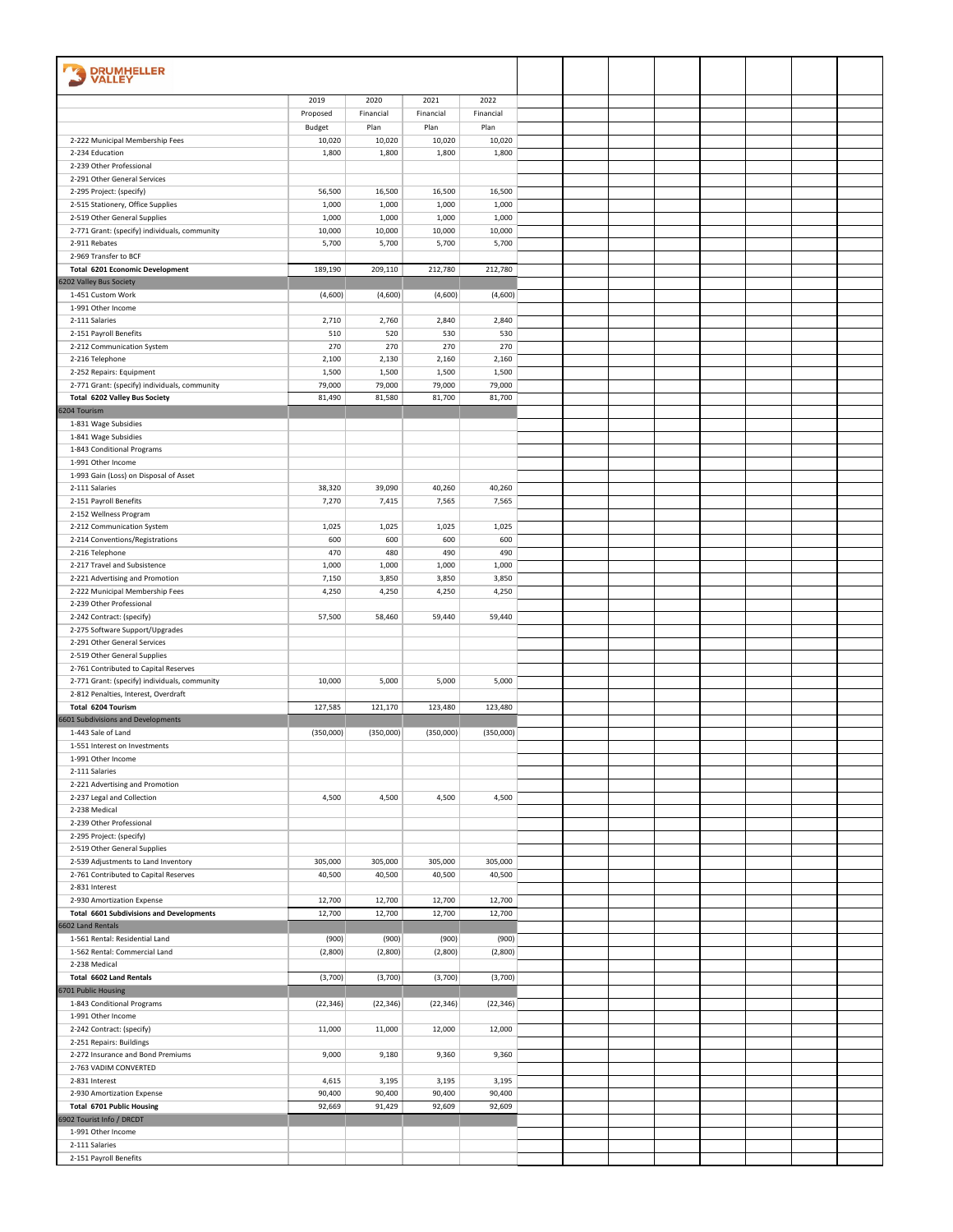| <b>DRUMHELLER</b>                                                                     |                 |                 |                 |                 |  |  |  |  |
|---------------------------------------------------------------------------------------|-----------------|-----------------|-----------------|-----------------|--|--|--|--|
| <b>VALLEY</b>                                                                         |                 |                 |                 |                 |  |  |  |  |
|                                                                                       | 2019            | 2020            | 2021            | 2022            |  |  |  |  |
|                                                                                       | Proposed        | Financial       | Financial       | Financial       |  |  |  |  |
|                                                                                       | Budget          | Plan            | Plan            | Plan            |  |  |  |  |
| 2-222 Municipal Membership Fees                                                       | 10,020          | 10,020          | 10,020          | 10,020          |  |  |  |  |
| 2-234 Education                                                                       | 1,800           | 1,800           | 1,800           | 1,800           |  |  |  |  |
| 2-239 Other Professional<br>2-291 Other General Services                              |                 |                 |                 |                 |  |  |  |  |
| 2-295 Project: (specify)                                                              | 56,500          | 16,500          | 16,500          | 16,500          |  |  |  |  |
| 2-515 Stationery, Office Supplies                                                     | 1,000           | 1,000           | 1,000           | 1,000           |  |  |  |  |
| 2-519 Other General Supplies                                                          | 1,000           | 1,000           | 1,000           | 1,000           |  |  |  |  |
| 2-771 Grant: (specify) individuals, community                                         | 10,000          | 10,000          | 10,000          | 10,000          |  |  |  |  |
| 2-911 Rebates                                                                         | 5,700           | 5,700           | 5,700           | 5,700           |  |  |  |  |
| 2-969 Transfer to BCF                                                                 |                 |                 |                 |                 |  |  |  |  |
| <b>Total 6201 Economic Development</b><br>6202 Valley Bus Society                     | 189,190         | 209,110         | 212,780         | 212,780         |  |  |  |  |
| 1-451 Custom Work                                                                     | (4,600)         | (4,600)         | (4,600)         | (4,600)         |  |  |  |  |
| 1-991 Other Income                                                                    |                 |                 |                 |                 |  |  |  |  |
| 2-111 Salaries                                                                        | 2,710           | 2,760           | 2,840           | 2,840           |  |  |  |  |
| 2-151 Payroll Benefits                                                                | 510             | 520             | 530             | 530             |  |  |  |  |
| 2-212 Communication System                                                            | 270             | 270             | 270             | 270             |  |  |  |  |
| 2-216 Telephone                                                                       | 2,100           | 2,130           | 2,160           | 2,160           |  |  |  |  |
| 2-252 Repairs: Equipment<br>2-771 Grant: (specify) individuals, community             | 1,500<br>79,000 | 1,500<br>79,000 | 1,500<br>79,000 | 1,500<br>79,000 |  |  |  |  |
| Total 6202 Valley Bus Society                                                         | 81,490          | 81,580          | 81,700          | 81,700          |  |  |  |  |
| 6204 Tourism                                                                          |                 |                 |                 |                 |  |  |  |  |
| 1-831 Wage Subsidies                                                                  |                 |                 |                 |                 |  |  |  |  |
| 1-841 Wage Subsidies                                                                  |                 |                 |                 |                 |  |  |  |  |
| 1-843 Conditional Programs                                                            |                 |                 |                 |                 |  |  |  |  |
| 1-991 Other Income                                                                    |                 |                 |                 |                 |  |  |  |  |
| 1-993 Gain (Loss) on Disposal of Asset<br>2-111 Salaries                              | 38,320          | 39,090          | 40,260          | 40,260          |  |  |  |  |
| 2-151 Payroll Benefits                                                                | 7,270           | 7,415           | 7,565           | 7,565           |  |  |  |  |
| 2-152 Wellness Program                                                                |                 |                 |                 |                 |  |  |  |  |
| 2-212 Communication System                                                            | 1,025           | 1,025           | 1,025           | 1,025           |  |  |  |  |
| 2-214 Conventions/Registrations                                                       | 600             | 600             | 600             | 600             |  |  |  |  |
| 2-216 Telephone                                                                       | 470             | 480             | 490             | 490             |  |  |  |  |
| 2-217 Travel and Subsistence                                                          | 1,000           | 1,000           | 1,000           | 1,000           |  |  |  |  |
| 2-221 Advertising and Promotion<br>2-222 Municipal Membership Fees                    | 7,150<br>4,250  | 3,850<br>4,250  | 3,850<br>4,250  | 3,850<br>4,250  |  |  |  |  |
| 2-239 Other Professional                                                              |                 |                 |                 |                 |  |  |  |  |
| 2-242 Contract: (specify)                                                             | 57,500          | 58,460          | 59,440          | 59,440          |  |  |  |  |
| 2-275 Software Support/Upgrades                                                       |                 |                 |                 |                 |  |  |  |  |
| 2-291 Other General Services                                                          |                 |                 |                 |                 |  |  |  |  |
| 2-519 Other General Supplies                                                          |                 |                 |                 |                 |  |  |  |  |
| 2-761 Contributed to Capital Reserves                                                 |                 |                 |                 |                 |  |  |  |  |
| 2-771 Grant: (specify) individuals, community<br>2-812 Penalties, Interest, Overdraft | 10,000          | 5,000           | 5,000           | 5,000           |  |  |  |  |
| Total 6204 Tourism                                                                    | 127,585         | 121,170         | 123,480         | 123,480         |  |  |  |  |
| 6601 Subdivisions and Developments                                                    |                 |                 |                 |                 |  |  |  |  |
| 1-443 Sale of Land                                                                    | (350,000)       | (350,000)       | (350,000)       | (350,000)       |  |  |  |  |
| 1-551 Interest on Investments                                                         |                 |                 |                 |                 |  |  |  |  |
| 1-991 Other Income<br>2-111 Salaries                                                  |                 |                 |                 |                 |  |  |  |  |
| 2-221 Advertising and Promotion                                                       |                 |                 |                 |                 |  |  |  |  |
| 2-237 Legal and Collection                                                            | 4,500           | 4,500           | 4,500           | 4,500           |  |  |  |  |
| 2-238 Medical                                                                         |                 |                 |                 |                 |  |  |  |  |
| 2-239 Other Professional                                                              |                 |                 |                 |                 |  |  |  |  |
| 2-295 Project: (specify)                                                              |                 |                 |                 |                 |  |  |  |  |
| 2-519 Other General Supplies                                                          | 305,000         | 305,000         | 305,000         | 305,000         |  |  |  |  |
| 2-539 Adjustments to Land Inventory<br>2-761 Contributed to Capital Reserves          | 40,500          | 40,500          | 40,500          | 40,500          |  |  |  |  |
| 2-831 Interest                                                                        |                 |                 |                 |                 |  |  |  |  |
| 2-930 Amortization Expense                                                            | 12,700          | 12,700          | 12,700          | 12,700          |  |  |  |  |
| <b>Total 6601 Subdivisions and Developments</b>                                       | 12,700          | 12,700          | 12,700          | 12,700          |  |  |  |  |
| 6602 Land Rentals                                                                     |                 |                 |                 |                 |  |  |  |  |
| 1-561 Rental: Residential Land                                                        | (900)           | (900)           | (900)           | (900)           |  |  |  |  |
| 1-562 Rental: Commercial Land<br>2-238 Medical                                        | (2,800)         | (2,800)         | (2,800)         | (2,800)         |  |  |  |  |
| Total 6602 Land Rentals                                                               | (3,700)         | (3,700)         | (3,700)         | (3,700)         |  |  |  |  |
| 6701 Public Housing                                                                   |                 |                 |                 |                 |  |  |  |  |
| 1-843 Conditional Programs                                                            | (22, 346)       | (22, 346)       | (22, 346)       | (22, 346)       |  |  |  |  |
| 1-991 Other Income                                                                    |                 |                 |                 |                 |  |  |  |  |
| 2-242 Contract: (specify)                                                             | 11,000          | 11,000          | 12,000          | 12,000          |  |  |  |  |
| 2-251 Repairs: Buildings                                                              |                 |                 |                 |                 |  |  |  |  |
| 2-272 Insurance and Bond Premiums<br>2-763 VADIM CONVERTED                            | 9,000           | 9,180           | 9,360           | 9,360           |  |  |  |  |
| 2-831 Interest                                                                        | 4,615           | 3,195           | 3,195           | 3,195           |  |  |  |  |
| 2-930 Amortization Expense                                                            | 90,400          | 90,400          | 90,400          | 90,400          |  |  |  |  |
| <b>Total 6701 Public Housing</b>                                                      | 92,669          | 91,429          | 92,609          | 92,609          |  |  |  |  |
| 6902 Tourist Info / DRCDT                                                             |                 |                 |                 |                 |  |  |  |  |
| 1-991 Other Income                                                                    |                 |                 |                 |                 |  |  |  |  |
| 2-111 Salaries                                                                        |                 |                 |                 |                 |  |  |  |  |
| 2-151 Payroll Benefits                                                                |                 |                 |                 |                 |  |  |  |  |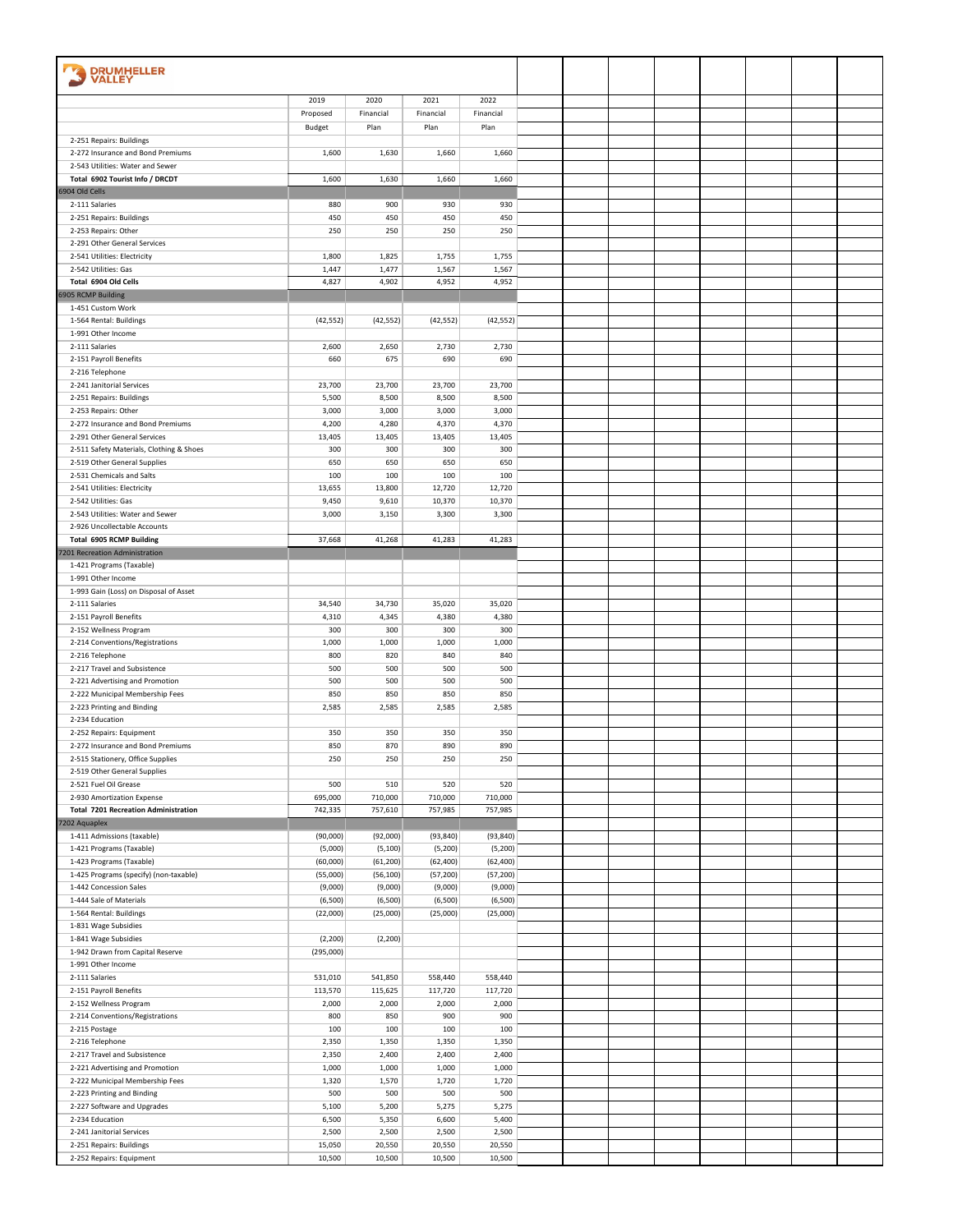| <b>DRUMHELLER</b><br><b>VALLEY</b>                               |                     |                      |                      |                      |  |  |  |  |
|------------------------------------------------------------------|---------------------|----------------------|----------------------|----------------------|--|--|--|--|
|                                                                  |                     |                      |                      |                      |  |  |  |  |
|                                                                  | 2019<br>Proposed    | 2020<br>Financial    | 2021<br>Financial    | 2022<br>Financial    |  |  |  |  |
|                                                                  | Budget              | Plan                 | Plan                 | Plan                 |  |  |  |  |
| 2-251 Repairs: Buildings                                         |                     |                      |                      |                      |  |  |  |  |
| 2-272 Insurance and Bond Premiums                                | 1,600               | 1,630                | 1,660                | 1,660                |  |  |  |  |
| 2-543 Utilities: Water and Sewer                                 |                     |                      |                      |                      |  |  |  |  |
| Total 6902 Tourist Info / DRCDT                                  | 1,600               | 1,630                | 1,660                | 1,660                |  |  |  |  |
| 6904 Old Cells<br>2-111 Salaries                                 | 880                 | 900                  | 930                  | 930                  |  |  |  |  |
| 2-251 Repairs: Buildings                                         | 450                 | 450                  | 450                  | 450                  |  |  |  |  |
| 2-253 Repairs: Other                                             | 250                 | 250                  | 250                  | 250                  |  |  |  |  |
| 2-291 Other General Services                                     |                     |                      |                      |                      |  |  |  |  |
| 2-541 Utilities: Electricity                                     | 1,800               | 1,825                | 1,755                | 1,755                |  |  |  |  |
| 2-542 Utilities: Gas                                             | 1,447               | 1,477                | 1,567                | 1,567                |  |  |  |  |
| Total 6904 Old Cells                                             | 4,827               | 4,902                | 4,952                | 4,952                |  |  |  |  |
| 6905 RCMP Building<br>1-451 Custom Work                          |                     |                      |                      |                      |  |  |  |  |
| 1-564 Rental: Buildings                                          | (42, 552)           | (42, 552)            | (42, 552)            | (42, 552)            |  |  |  |  |
| 1-991 Other Income                                               |                     |                      |                      |                      |  |  |  |  |
| 2-111 Salaries                                                   | 2,600               | 2,650                | 2,730                | 2,730                |  |  |  |  |
| 2-151 Payroll Benefits                                           | 660                 | 675                  | 690                  | 690                  |  |  |  |  |
| 2-216 Telephone                                                  |                     |                      |                      |                      |  |  |  |  |
| 2-241 Janitorial Services                                        | 23,700              | 23,700               | 23,700               | 23,700               |  |  |  |  |
| 2-251 Repairs: Buildings<br>2-253 Repairs: Other                 | 5,500<br>3,000      | 8,500<br>3,000       | 8,500<br>3,000       | 8,500<br>3,000       |  |  |  |  |
| 2-272 Insurance and Bond Premiums                                | 4,200               | 4,280                | 4,370                | 4,370                |  |  |  |  |
| 2-291 Other General Services                                     | 13,405              | 13,405               | 13,405               | 13,405               |  |  |  |  |
| 2-511 Safety Materials, Clothing & Shoes                         | 300                 | 300                  | 300                  | 300                  |  |  |  |  |
| 2-519 Other General Supplies                                     | 650                 | 650                  | 650                  | 650                  |  |  |  |  |
| 2-531 Chemicals and Salts                                        | 100                 | 100                  | 100                  | 100                  |  |  |  |  |
| 2-541 Utilities: Electricity                                     | 13,655              | 13,800               | 12,720               | 12,720               |  |  |  |  |
| 2-542 Utilities: Gas<br>2-543 Utilities: Water and Sewer         | 9,450<br>3,000      | 9,610<br>3,150       | 10,370<br>3,300      | 10,370<br>3,300      |  |  |  |  |
| 2-926 Uncollectable Accounts                                     |                     |                      |                      |                      |  |  |  |  |
| <b>Total 6905 RCMP Building</b>                                  | 37,668              | 41,268               | 41,283               | 41,283               |  |  |  |  |
| 7201 Recreation Administration                                   |                     |                      |                      |                      |  |  |  |  |
| 1-421 Programs (Taxable)                                         |                     |                      |                      |                      |  |  |  |  |
| 1-991 Other Income                                               |                     |                      |                      |                      |  |  |  |  |
| 1-993 Gain (Loss) on Disposal of Asset<br>2-111 Salaries         | 34,540              | 34,730               | 35,020               | 35,020               |  |  |  |  |
| 2-151 Payroll Benefits                                           | 4,310               | 4,345                | 4,380                | 4,380                |  |  |  |  |
| 2-152 Wellness Program                                           | 300                 | 300                  | 300                  | 300                  |  |  |  |  |
| 2-214 Conventions/Registrations                                  | 1,000               | 1,000                | 1,000                | 1,000                |  |  |  |  |
| 2-216 Telephone                                                  | 800                 | 820                  | 840                  | 840                  |  |  |  |  |
| 2-217 Travel and Subsistence                                     | 500                 | 500                  | 500                  | 500                  |  |  |  |  |
| 2-221 Advertising and Promotion                                  | 500                 | 500                  | 500                  | 500                  |  |  |  |  |
| 2-222 Municipal Membership Fees<br>2-223 Printing and Binding    | 850<br>2,585        | 850<br>2,585         | 850<br>2,585         | 850<br>2,585         |  |  |  |  |
| 2-234 Education                                                  |                     |                      |                      |                      |  |  |  |  |
| 2-252 Repairs: Equipment                                         | 350                 | 350                  | 350                  | 350                  |  |  |  |  |
| 2-272 Insurance and Bond Premiums                                | 850                 | 870                  | 890                  | 890                  |  |  |  |  |
| 2-515 Stationery, Office Supplies                                | 250                 | 250                  | 250                  | 250                  |  |  |  |  |
| 2-519 Other General Supplies                                     |                     |                      |                      |                      |  |  |  |  |
| 2-521 Fuel Oil Grease<br>2-930 Amortization Expense              | 500<br>695,000      | 510<br>710,000       | 520<br>710,000       | 520<br>710,000       |  |  |  |  |
| <b>Total 7201 Recreation Administration</b>                      | 742,335             | 757,610              | 757,985              | 757,985              |  |  |  |  |
| 7202 Aquaplex                                                    |                     |                      |                      |                      |  |  |  |  |
| 1-411 Admissions (taxable)                                       | (90,000)            | (92,000)             | (93, 840)            | (93, 840)            |  |  |  |  |
| 1-421 Programs (Taxable)                                         | (5,000)             | (5, 100)             | (5,200)              | (5,200)              |  |  |  |  |
| 1-423 Programs (Taxable)                                         | (60,000)            | (61, 200)            | (62, 400)            | (62, 400)            |  |  |  |  |
| 1-425 Programs (specify) (non-taxable)<br>1-442 Concession Sales | (55,000)<br>(9,000) | (56, 100)<br>(9,000) | (57, 200)<br>(9,000) | (57, 200)<br>(9,000) |  |  |  |  |
| 1-444 Sale of Materials                                          | (6,500)             | (6,500)              | (6,500)              | (6,500)              |  |  |  |  |
| 1-564 Rental: Buildings                                          | (22,000)            | (25,000)             | (25,000)             | (25,000)             |  |  |  |  |
| 1-831 Wage Subsidies                                             |                     |                      |                      |                      |  |  |  |  |
| 1-841 Wage Subsidies                                             | (2, 200)            | (2, 200)             |                      |                      |  |  |  |  |
| 1-942 Drawn from Capital Reserve                                 | (295,000)           |                      |                      |                      |  |  |  |  |
| 1-991 Other Income                                               |                     |                      |                      |                      |  |  |  |  |
| 2-111 Salaries<br>2-151 Payroll Benefits                         | 531,010<br>113,570  | 541,850<br>115,625   | 558,440<br>117,720   | 558,440<br>117,720   |  |  |  |  |
| 2-152 Wellness Program                                           | 2,000               | 2,000                | 2,000                | 2,000                |  |  |  |  |
| 2-214 Conventions/Registrations                                  | 800                 | 850                  | 900                  | 900                  |  |  |  |  |
| 2-215 Postage                                                    | 100                 | 100                  | 100                  | 100                  |  |  |  |  |
| 2-216 Telephone                                                  | 2,350               | 1,350                | 1,350                | 1,350                |  |  |  |  |
| 2-217 Travel and Subsistence                                     | 2,350               | 2,400                | 2,400                | 2,400                |  |  |  |  |
| 2-221 Advertising and Promotion                                  | 1,000               | 1,000                | 1,000                | 1,000                |  |  |  |  |
| 2-222 Municipal Membership Fees<br>2-223 Printing and Binding    | 1,320<br>500        | 1,570<br>500         | 1,720<br>500         | 1,720<br>500         |  |  |  |  |
| 2-227 Software and Upgrades                                      | 5,100               | 5,200                | 5,275                | 5,275                |  |  |  |  |
| 2-234 Education                                                  | 6,500               | 5,350                | 6,600                | 5,400                |  |  |  |  |
| 2-241 Janitorial Services                                        | 2,500               | 2,500                | 2,500                | 2,500                |  |  |  |  |
| 2-251 Repairs: Buildings                                         | 15,050              | 20,550               | 20,550               | 20,550               |  |  |  |  |
| 2-252 Repairs: Equipment                                         | 10,500              | 10,500               | 10,500               | 10,500               |  |  |  |  |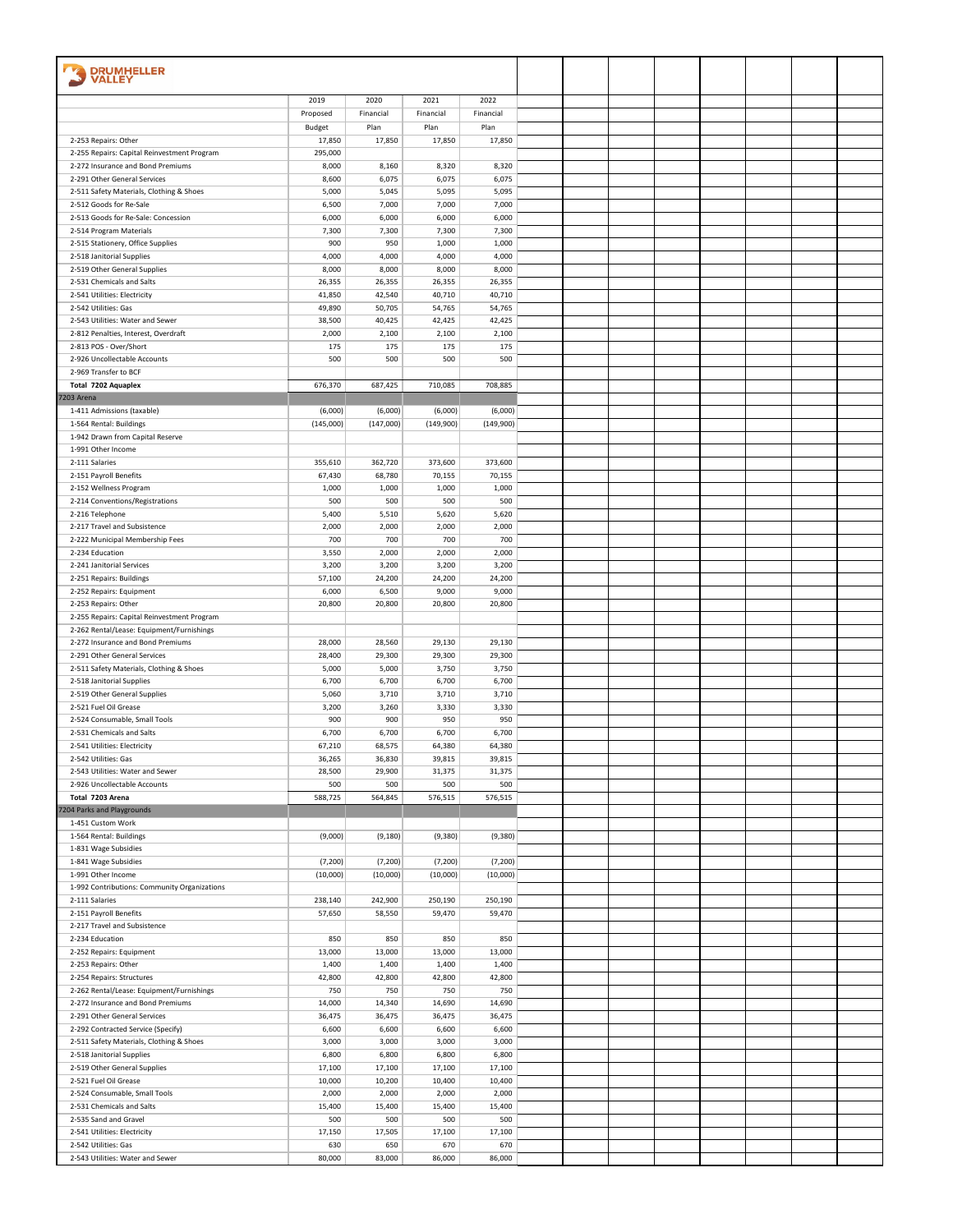| <b>DRUMHELLER</b>                                                                        |                  |                  |                  |                  |  |  |  |  |
|------------------------------------------------------------------------------------------|------------------|------------------|------------------|------------------|--|--|--|--|
| <b>VALLEY</b>                                                                            |                  |                  |                  |                  |  |  |  |  |
|                                                                                          | 2019             | 2020             | 2021             | 2022             |  |  |  |  |
|                                                                                          | Proposed         | Financial        | Financial        | Financial        |  |  |  |  |
|                                                                                          | Budget           | Plan             | Plan             | Plan             |  |  |  |  |
| 2-253 Repairs: Other                                                                     | 17,850           | 17,850           | 17,850           | 17,850           |  |  |  |  |
| 2-255 Repairs: Capital Reinvestment Program                                              | 295,000          |                  |                  |                  |  |  |  |  |
| 2-272 Insurance and Bond Premiums                                                        | 8,000            | 8,160            | 8,320            | 8,320            |  |  |  |  |
| 2-291 Other General Services<br>2-511 Safety Materials, Clothing & Shoes                 | 8,600<br>5,000   | 6,075<br>5,045   | 6,075<br>5,095   | 6,075<br>5,095   |  |  |  |  |
| 2-512 Goods for Re-Sale                                                                  | 6,500            | 7,000            | 7,000            | 7,000            |  |  |  |  |
| 2-513 Goods for Re-Sale: Concession                                                      | 6,000            | 6,000            | 6,000            | 6,000            |  |  |  |  |
| 2-514 Program Materials                                                                  | 7,300            | 7,300            | 7,300            | 7,300            |  |  |  |  |
| 2-515 Stationery, Office Supplies                                                        | 900              | 950              | 1,000            | 1,000            |  |  |  |  |
| 2-518 Janitorial Supplies                                                                | 4,000            | 4,000            | 4,000            | 4,000            |  |  |  |  |
| 2-519 Other General Supplies                                                             | 8,000            | 8,000            | 8,000            | 8,000            |  |  |  |  |
| 2-531 Chemicals and Salts<br>2-541 Utilities: Electricity                                | 26,355<br>41,850 | 26,355<br>42,540 | 26,355<br>40,710 | 26,355<br>40,710 |  |  |  |  |
| 2-542 Utilities: Gas                                                                     | 49,890           | 50,705           | 54,765           | 54,765           |  |  |  |  |
| 2-543 Utilities: Water and Sewer                                                         | 38,500           | 40,425           | 42,425           | 42,425           |  |  |  |  |
| 2-812 Penalties, Interest, Overdraft                                                     | 2,000            | 2,100            | 2,100            | 2,100            |  |  |  |  |
| 2-813 POS - Over/Short                                                                   | 175              | 175              | 175              | 175              |  |  |  |  |
| 2-926 Uncollectable Accounts                                                             | 500              | 500              | 500              | 500              |  |  |  |  |
| 2-969 Transfer to BCF                                                                    |                  |                  |                  |                  |  |  |  |  |
| Total 7202 Aquaplex                                                                      | 676,370          | 687,425          | 710,085          | 708,885          |  |  |  |  |
| 7203 Arena<br>1-411 Admissions (taxable)                                                 | (6,000)          | (6,000)          | (6,000)          | (6,000)          |  |  |  |  |
| 1-564 Rental: Buildings                                                                  | (145,000)        | (147,000)        | (149,900)        | (149,900)        |  |  |  |  |
| 1-942 Drawn from Capital Reserve                                                         |                  |                  |                  |                  |  |  |  |  |
| 1-991 Other Income                                                                       |                  |                  |                  |                  |  |  |  |  |
| 2-111 Salaries                                                                           | 355,610          | 362,720          | 373,600          | 373,600          |  |  |  |  |
| 2-151 Payroll Benefits                                                                   | 67,430           | 68,780           | 70,155           | 70,155           |  |  |  |  |
| 2-152 Wellness Program                                                                   | 1,000            | 1,000            | 1,000            | 1,000            |  |  |  |  |
| 2-214 Conventions/Registrations                                                          | 500<br>5,400     | 500              | 500<br>5,620     | 500<br>5,620     |  |  |  |  |
| 2-216 Telephone<br>2-217 Travel and Subsistence                                          | 2,000            | 5,510<br>2,000   | 2,000            | 2,000            |  |  |  |  |
| 2-222 Municipal Membership Fees                                                          | 700              | 700              | 700              | 700              |  |  |  |  |
| 2-234 Education                                                                          | 3,550            | 2,000            | 2,000            | 2,000            |  |  |  |  |
| 2-241 Janitorial Services                                                                | 3,200            | 3,200            | 3,200            | 3,200            |  |  |  |  |
| 2-251 Repairs: Buildings                                                                 | 57,100           | 24,200           | 24,200           | 24,200           |  |  |  |  |
| 2-252 Repairs: Equipment                                                                 | 6,000            | 6,500            | 9,000            | 9,000            |  |  |  |  |
| 2-253 Repairs: Other                                                                     | 20,800           | 20,800           | 20,800           | 20,800           |  |  |  |  |
| 2-255 Repairs: Capital Reinvestment Program<br>2-262 Rental/Lease: Equipment/Furnishings |                  |                  |                  |                  |  |  |  |  |
| 2-272 Insurance and Bond Premiums                                                        | 28,000           | 28,560           | 29,130           | 29,130           |  |  |  |  |
| 2-291 Other General Services                                                             | 28,400           | 29,300           | 29,300           | 29,300           |  |  |  |  |
| 2-511 Safety Materials, Clothing & Shoes                                                 | 5,000            | 5,000            | 3,750            | 3,750            |  |  |  |  |
| 2-518 Janitorial Supplies                                                                | 6,700            | 6,700            | 6,700            | 6,700            |  |  |  |  |
| 2-519 Other General Supplies                                                             | 5,060            | 3,710            | 3,710            | 3,710            |  |  |  |  |
| 2-521 Fuel Oil Grease                                                                    | 3,200            | 3,260            | 3,330            | 3,330            |  |  |  |  |
| 2-524 Consumable, Small Tools<br>2-531 Chemicals and Salts                               | 900<br>6,700     | 900<br>6,700     | 950<br>6,700     | 950<br>6,700     |  |  |  |  |
| 2-541 Utilities: Electricity                                                             | 67,210           | 68,575           | 64,380           | 64,380           |  |  |  |  |
| 2-542 Utilities: Gas                                                                     | 36,265           | 36,830           | 39,815           | 39,815           |  |  |  |  |
| 2-543 Utilities: Water and Sewer                                                         | 28,500           | 29,900           | 31,375           | 31,375           |  |  |  |  |
| 2-926 Uncollectable Accounts                                                             | 500              | 500              | 500              | 500              |  |  |  |  |
| Total 7203 Arena                                                                         | 588,725          | 564,845          | 576,515          | 576,515          |  |  |  |  |
| 7204 Parks and Playgrounds                                                               |                  |                  |                  |                  |  |  |  |  |
| 1-451 Custom Work<br>1-564 Rental: Buildings                                             | (9,000)          | (9, 180)         | (9,380)          | (9,380)          |  |  |  |  |
| 1-831 Wage Subsidies                                                                     |                  |                  |                  |                  |  |  |  |  |
| 1-841 Wage Subsidies                                                                     | (7, 200)         | (7,200)          | (7, 200)         | (7, 200)         |  |  |  |  |
| 1-991 Other Income                                                                       | (10,000)         | (10,000)         | (10,000)         | (10,000)         |  |  |  |  |
| 1-992 Contributions: Community Organizations                                             |                  |                  |                  |                  |  |  |  |  |
| 2-111 Salaries                                                                           | 238,140          | 242,900          | 250,190          | 250,190          |  |  |  |  |
| 2-151 Payroll Benefits<br>2-217 Travel and Subsistence                                   | 57,650           | 58,550           | 59,470           | 59,470           |  |  |  |  |
| 2-234 Education                                                                          | 850              | 850              | 850              | 850              |  |  |  |  |
| 2-252 Repairs: Equipment                                                                 | 13,000           | 13,000           | 13,000           | 13,000           |  |  |  |  |
| 2-253 Repairs: Other                                                                     | 1,400            | 1,400            | 1,400            | 1,400            |  |  |  |  |
| 2-254 Repairs: Structures                                                                | 42,800           | 42,800           | 42,800           | 42,800           |  |  |  |  |
| 2-262 Rental/Lease: Equipment/Furnishings                                                | 750              | 750              | 750              | 750              |  |  |  |  |
| 2-272 Insurance and Bond Premiums                                                        | 14,000           | 14,340           | 14,690           | 14,690           |  |  |  |  |
| 2-291 Other General Services                                                             | 36,475           | 36,475           | 36,475           | 36,475           |  |  |  |  |
| 2-292 Contracted Service (Specify)                                                       | 6,600<br>3,000   | 6,600<br>3,000   | 6,600<br>3,000   | 6,600<br>3,000   |  |  |  |  |
| 2-511 Safety Materials, Clothing & Shoes<br>2-518 Janitorial Supplies                    | 6,800            | 6,800            | 6,800            | 6,800            |  |  |  |  |
| 2-519 Other General Supplies                                                             | 17,100           | 17,100           | 17,100           | 17,100           |  |  |  |  |
| 2-521 Fuel Oil Grease                                                                    | 10,000           | 10,200           | 10,400           | 10,400           |  |  |  |  |
| 2-524 Consumable, Small Tools                                                            | 2,000            | 2,000            | 2,000            | 2,000            |  |  |  |  |
| 2-531 Chemicals and Salts                                                                | 15,400           | 15,400           | 15,400           | 15,400           |  |  |  |  |
| 2-535 Sand and Gravel                                                                    | 500              | 500              | 500              | 500              |  |  |  |  |
| 2-541 Utilities: Electricity<br>2-542 Utilities: Gas                                     | 17,150           | 17,505           | 17,100           | 17,100           |  |  |  |  |
| 2-543 Utilities: Water and Sewer                                                         | 630<br>80,000    | 650<br>83,000    | 670<br>86,000    | 670<br>86,000    |  |  |  |  |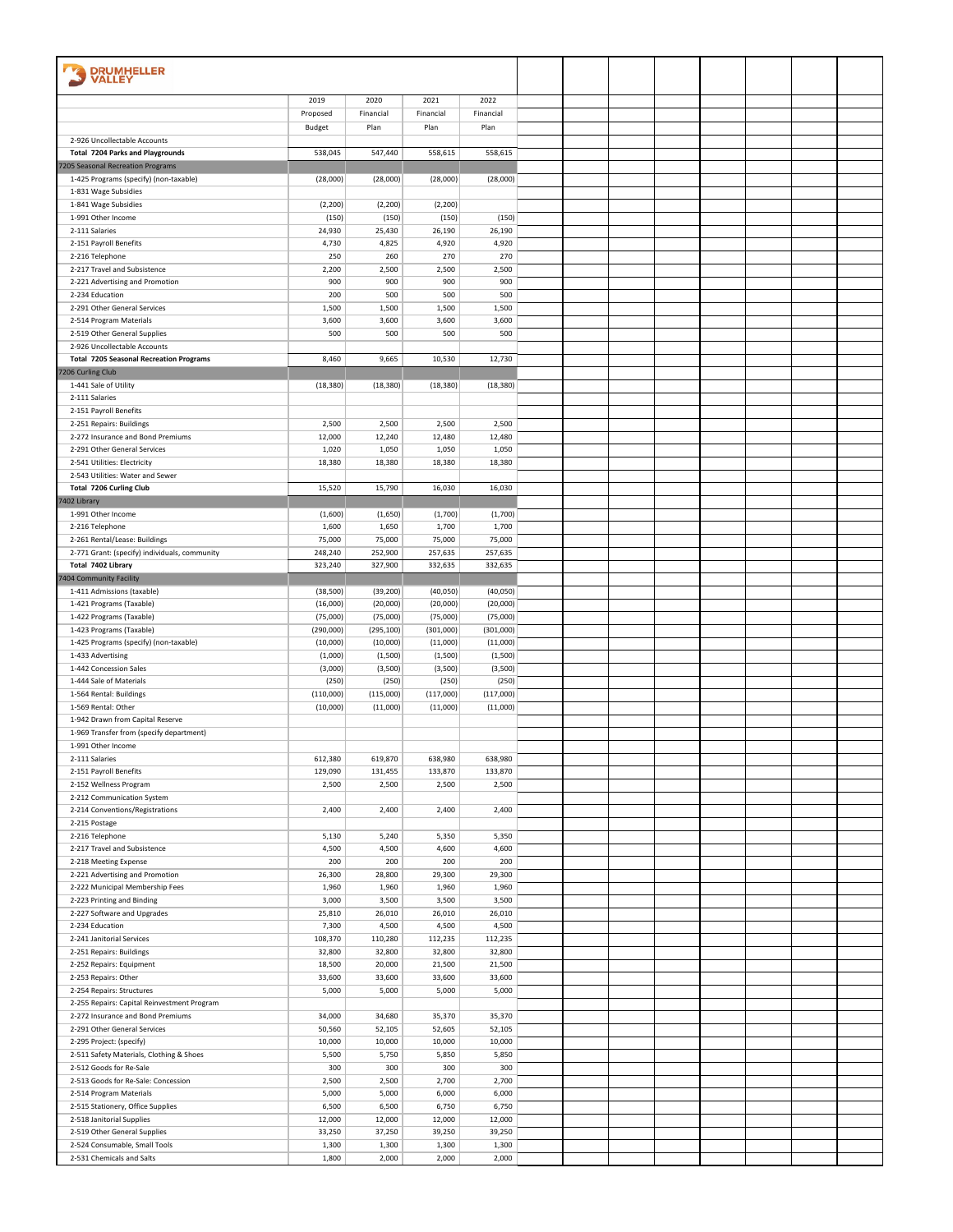| <b>DRUMHELLER</b>                                         |                    |                    |                    |                    |  |  |  |  |
|-----------------------------------------------------------|--------------------|--------------------|--------------------|--------------------|--|--|--|--|
| VALLEY                                                    |                    |                    |                    |                    |  |  |  |  |
|                                                           | 2019               | 2020               | 2021               | 2022               |  |  |  |  |
|                                                           | Proposed           | Financial          | Financial          | Financial          |  |  |  |  |
| 2-926 Uncollectable Accounts                              | Budget             | Plan               | Plan               | Plan               |  |  |  |  |
| <b>Total 7204 Parks and Playgrounds</b>                   | 538,045            | 547,440            | 558,615            | 558,615            |  |  |  |  |
| 7205 Seasonal Recreation Programs                         |                    |                    |                    |                    |  |  |  |  |
| 1-425 Programs (specify) (non-taxable)                    | (28,000)           | (28,000)           | (28,000)           | (28,000)           |  |  |  |  |
| 1-831 Wage Subsidies                                      |                    |                    |                    |                    |  |  |  |  |
| 1-841 Wage Subsidies                                      | (2, 200)           | (2, 200)           | (2, 200)           |                    |  |  |  |  |
| 1-991 Other Income<br>2-111 Salaries                      | (150)<br>24,930    | (150)<br>25,430    | (150)<br>26,190    | (150)<br>26,190    |  |  |  |  |
| 2-151 Payroll Benefits                                    | 4,730              | 4,825              | 4,920              | 4,920              |  |  |  |  |
| 2-216 Telephone                                           | 250                | 260                | 270                | 270                |  |  |  |  |
| 2-217 Travel and Subsistence                              | 2,200              | 2,500              | 2,500              | 2,500              |  |  |  |  |
| 2-221 Advertising and Promotion                           | 900                | 900                | 900                | 900                |  |  |  |  |
| 2-234 Education                                           | 200                | 500                | 500                | 500                |  |  |  |  |
| 2-291 Other General Services<br>2-514 Program Materials   | 1,500<br>3,600     | 1,500<br>3,600     | 1,500<br>3,600     | 1,500<br>3,600     |  |  |  |  |
| 2-519 Other General Supplies                              | 500                | 500                | 500                | 500                |  |  |  |  |
| 2-926 Uncollectable Accounts                              |                    |                    |                    |                    |  |  |  |  |
| <b>Total 7205 Seasonal Recreation Programs</b>            | 8,460              | 9,665              | 10,530             | 12,730             |  |  |  |  |
| 7206 Curling Club                                         |                    |                    |                    |                    |  |  |  |  |
| 1-441 Sale of Utility                                     | (18, 380)          | (18, 380)          | (18, 380)          | (18, 380)          |  |  |  |  |
| 2-111 Salaries<br>2-151 Payroll Benefits                  |                    |                    |                    |                    |  |  |  |  |
| 2-251 Repairs: Buildings                                  | 2,500              | 2,500              | 2,500              | 2,500              |  |  |  |  |
| 2-272 Insurance and Bond Premiums                         | 12,000             | 12,240             | 12,480             | 12,480             |  |  |  |  |
| 2-291 Other General Services                              | 1,020              | 1,050              | 1,050              | 1,050              |  |  |  |  |
| 2-541 Utilities: Electricity                              | 18,380             | 18,380             | 18,380             | 18,380             |  |  |  |  |
| 2-543 Utilities: Water and Sewer                          |                    |                    |                    |                    |  |  |  |  |
| <b>Total 7206 Curling Club</b><br>7402 Library            | 15,520             | 15,790             | 16,030             | 16,030             |  |  |  |  |
| 1-991 Other Income                                        | (1,600)            | (1,650)            | (1,700)            | (1,700)            |  |  |  |  |
| 2-216 Telephone                                           | 1,600              | 1,650              | 1,700              | 1,700              |  |  |  |  |
| 2-261 Rental/Lease: Buildings                             | 75,000             | 75,000             | 75,000             | 75,000             |  |  |  |  |
| 2-771 Grant: (specify) individuals, community             | 248,240            | 252,900            | 257,635            | 257,635            |  |  |  |  |
| Total 7402 Library                                        | 323,240            | 327,900            | 332,635            | 332,635            |  |  |  |  |
| 7404 Community Facility<br>1-411 Admissions (taxable)     | (38, 500)          | (39, 200)          | (40,050)           | (40,050)           |  |  |  |  |
| 1-421 Programs (Taxable)                                  | (16,000)           | (20,000)           | (20,000)           | (20,000)           |  |  |  |  |
| 1-422 Programs (Taxable)                                  | (75,000)           | (75,000)           | (75,000)           | (75,000)           |  |  |  |  |
| 1-423 Programs (Taxable)                                  | (290,000)          | (295, 100)         | (301,000)          | (301,000)          |  |  |  |  |
| 1-425 Programs (specify) (non-taxable)                    | (10,000)           | (10,000)           | (11,000)           | (11,000)           |  |  |  |  |
| 1-433 Advertising                                         | (1,000)            | (1,500)            | (1,500)            | (1,500)            |  |  |  |  |
| 1-442 Concession Sales<br>1-444 Sale of Materials         | (3,000)            | (3,500)            | (3,500)            | (3,500)            |  |  |  |  |
| 1-564 Rental: Buildings                                   | (250)<br>(110,000) | (250)<br>(115,000) | (250)<br>(117,000) | (250)<br>(117,000) |  |  |  |  |
| 1-569 Rental: Other                                       | (10,000)           | (11,000)           | (11,000)           | (11,000)           |  |  |  |  |
| 1-942 Drawn from Capital Reserve                          |                    |                    |                    |                    |  |  |  |  |
| 1-969 Transfer from (specify department)                  |                    |                    |                    |                    |  |  |  |  |
| 1-991 Other Income                                        |                    |                    |                    |                    |  |  |  |  |
| 2-111 Salaries<br>2-151 Payroll Benefits                  | 612,380<br>129,090 | 619,870<br>131,455 | 638,980<br>133,870 | 638,980<br>133,870 |  |  |  |  |
| 2-152 Wellness Program                                    | 2,500              | 2,500              | 2,500              | 2,500              |  |  |  |  |
| 2-212 Communication System                                |                    |                    |                    |                    |  |  |  |  |
| 2-214 Conventions/Registrations                           | 2,400              | 2,400              | 2,400              | 2,400              |  |  |  |  |
| 2-215 Postage                                             |                    |                    |                    |                    |  |  |  |  |
| 2-216 Telephone                                           | 5,130              | 5,240              | 5,350              | 5,350              |  |  |  |  |
| 2-217 Travel and Subsistence<br>2-218 Meeting Expense     | 4,500<br>200       | 4,500<br>200       | 4,600<br>200       | 4,600<br>200       |  |  |  |  |
| 2-221 Advertising and Promotion                           | 26,300             | 28,800             | 29,300             | 29,300             |  |  |  |  |
| 2-222 Municipal Membership Fees                           | 1,960              | 1,960              | 1,960              | 1,960              |  |  |  |  |
| 2-223 Printing and Binding                                | 3,000              | 3,500              | 3,500              | 3,500              |  |  |  |  |
| 2-227 Software and Upgrades                               | 25,810             | 26,010             | 26,010             | 26,010             |  |  |  |  |
| 2-234 Education                                           | 7,300              | 4,500              | 4,500              | 4,500              |  |  |  |  |
| 2-241 Janitorial Services<br>2-251 Repairs: Buildings     | 108,370<br>32,800  | 110,280<br>32,800  | 112,235<br>32,800  | 112,235<br>32,800  |  |  |  |  |
| 2-252 Repairs: Equipment                                  | 18,500             | 20,000             | 21,500             | 21,500             |  |  |  |  |
| 2-253 Repairs: Other                                      | 33,600             | 33,600             | 33,600             | 33,600             |  |  |  |  |
| 2-254 Repairs: Structures                                 | 5,000              | 5,000              | 5,000              | 5,000              |  |  |  |  |
| 2-255 Repairs: Capital Reinvestment Program               |                    |                    |                    |                    |  |  |  |  |
| 2-272 Insurance and Bond Premiums                         | 34,000             | 34,680             | 35,370             | 35,370             |  |  |  |  |
| 2-291 Other General Services<br>2-295 Project: (specify)  | 50,560<br>10,000   | 52,105<br>10,000   | 52,605<br>10,000   | 52,105<br>10,000   |  |  |  |  |
| 2-511 Safety Materials, Clothing & Shoes                  | 5,500              | 5,750              | 5,850              | 5,850              |  |  |  |  |
| 2-512 Goods for Re-Sale                                   | 300                | 300                | 300                | 300                |  |  |  |  |
| 2-513 Goods for Re-Sale: Concession                       | 2,500              | 2,500              | 2,700              | 2,700              |  |  |  |  |
| 2-514 Program Materials                                   | 5,000              | 5,000              | 6,000              | 6,000              |  |  |  |  |
| 2-515 Stationery, Office Supplies                         | 6,500              | 6,500              | 6,750              | 6,750              |  |  |  |  |
| 2-518 Janitorial Supplies<br>2-519 Other General Supplies | 12,000<br>33,250   | 12,000<br>37,250   | 12,000<br>39,250   | 12,000<br>39,250   |  |  |  |  |
| 2-524 Consumable, Small Tools                             | 1,300              | 1,300              | 1,300              | 1,300              |  |  |  |  |
| 2-531 Chemicals and Salts                                 | 1,800              | 2,000              | 2,000              | 2,000              |  |  |  |  |